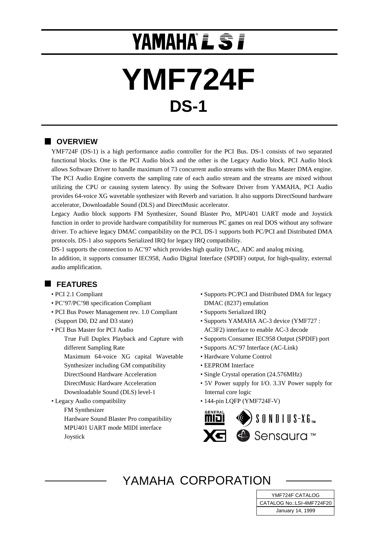# **YAMAHA L S I**

# **YMF724F DS-1**

## **N** OVERVIEW

YMF724F (DS-1) is a high performance audio controller for the PCI Bus. DS-1 consists of two separated functional blocks. One is the PCI Audio block and the other is the Legacy Audio block. PCI Audio block allows Software Driver to handle maximum of 73 concurrent audio streams with the Bus Master DMA engine. The PCI Audio Engine converts the sampling rate of each audio stream and the streams are mixed without utilizing the CPU or causing system latency. By using the Software Driver from YAMAHA, PCI Audio provides 64-voice XG wavetable synthesizer with Reverb and variation. It also supports DirectSound hardware accelerator, Downloadable Sound (DLS) and DirectMusic accelerator.

Legacy Audio block supports FM Synthesizer, Sound Blaster Pro, MPU401 UART mode and Joystick function in order to provide hardware compatibility for numerous PC games on real DOS without any software driver. To achieve legacy DMAC compatibility on the PCI, DS-1 supports both PC/PCI and Distributed DMA protocols. DS-1 also supports Serialized IRQ for legacy IRQ compatibility.

DS-1 supports the connection to AC'97 which provides high quality DAC, ADC and analog mixing.

In addition, it supports consumer IEC958, Audio Digital Interface (SPDIF) output, for high-quality, external audio amplification.

## **FEATURES**

- PCI 2.1 Compliant
- PC'97/PC'98 specification Compliant
- PCI Bus Power Management rev. 1.0 Compliant (Support D0, D2 and D3 state)
- PCI Bus Master for PCI Audio True Full Duplex Playback and Capture with different Sampling Rate
	- Maximum 64-voice XG capital Wavetable
	- Synthesizer including GM compatibility
	- DirectSound Hardware Acceleration
	- DirectMusic Hardware Acceleration
	- Downloadable Sound (DLS) level-1
- Legacy Audio compatibility FM Synthesizer Hardware Sound Blaster Pro compatibility MPU401 UART mode MIDI interface
	- Joystick
- Supports PC/PCI and Distributed DMA for legacy DMAC (8237) emulation
- Supports Serialized IRQ
- Supports YAMAHA AC-3 device (YMF727 : AC3F2) interface to enable AC-3 decode
- Supports Consumer IEC958 Output (SPDIF) port
- Supports AC'97 Interface (AC-Link)
- Hardware Volume Control
- EEPROM Interface
- Single Crystal operation (24.576MHz)
- 5V Power supply for I/O. 3.3V Power supply for Internal core logic
- 144-pin LQFP (YMF724F-V)



## YAMAHA CORPORATION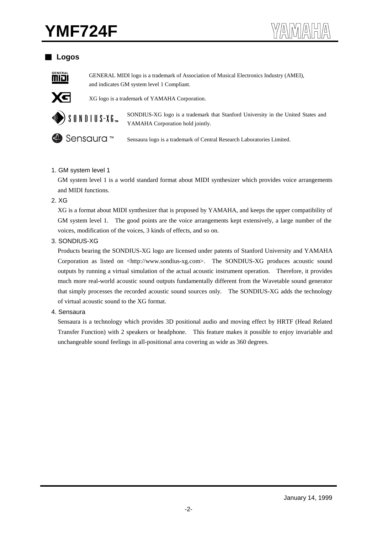## **YMF724F**

## **Logos**



GENERAL MIDI logo is a trademark of Association of Musical Electronics Industry (AMEI), and indicates GM system level 1 Compliant.



XG logo is a trademark of YAMAHA Corporation.



SONDIUS-XG logo is a trademark that Stanford University in the United States and  $\left\{\left\{\begin{array}{c} \text{SONDIUS-XG } \text{log} \text{ or } \text{S a maximum} \end{array}\right\}\right\}$   $\left\{\left\{\begin{array}{c} \text{SONDIUS-XG } \text{log} \text{ or } \text{S a maximum} \end{array}\right\}\right\}$ 



**◆ Sensaura** logo is a trademark of Central Research Laboratories Limited.

#### 1. GM system level 1

GM system level 1 is a world standard format about MIDI synthesizer which provides voice arrangements and MIDI functions.

#### 2. XG

XG is a format about MIDI synthesizer that is proposed by YAMAHA, and keeps the upper compatibility of GM system level 1. The good points are the voice arrangements kept extensively, a large number of the voices, modification of the voices, 3 kinds of effects, and so on.

#### 3. SONDIUS-XG

Products bearing the SONDIUS-XG logo are licensed under patents of Stanford University and YAMAHA Corporation as listed on <http://www.sondius-xg.com>. The SONDIUS-XG produces acoustic sound outputs by running a virtual simulation of the actual acoustic instrument operation. Therefore, it provides much more real-world acoustic sound outputs fundamentally different from the Wavetable sound generator that simply processes the recorded acoustic sound sources only. The SONDIUS-XG adds the technology of virtual acoustic sound to the XG format.

#### 4. Sensaura

Sensaura is a technology which provides 3D positional audio and moving effect by HRTF (Head Related Transfer Function) with 2 speakers or headphone. This feature makes it possible to enjoy invariable and unchangeable sound feelings in all-positional area covering as wide as 360 degrees.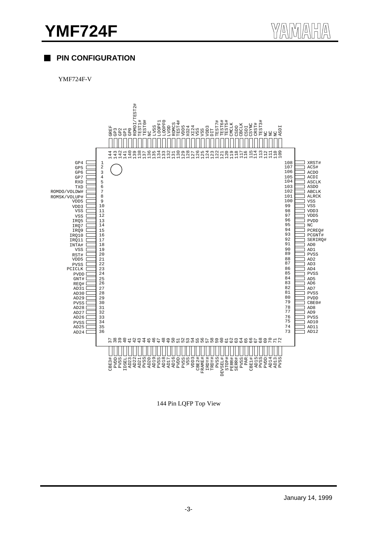## **YMF724F**



## **PIN CONFIGURATION**

YMF724F-V



144 Pin LQFP Top View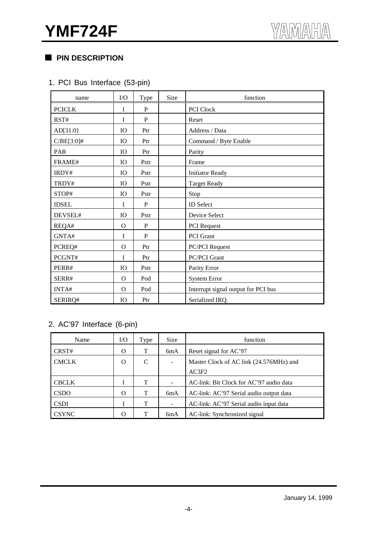## **PIN DESCRIPTION**

## 1. PCI Bus Interface (53-pin)

| name          | $\rm LO$ | Type         | Size | function                            |  |  |  |  |
|---------------|----------|--------------|------|-------------------------------------|--|--|--|--|
| <b>PCICLK</b> | I        | P            |      | PCI Clock                           |  |  |  |  |
| RST#          | I        | P            |      | Reset                               |  |  |  |  |
| AD[31:0]      | IO       | Ptr          |      | Address / Data                      |  |  |  |  |
| $C/BE[3:0]$ # | IO       | Ptr          |      | Command / Byte Enable               |  |  |  |  |
| PAR           | IO       | Ptr          |      | Parity                              |  |  |  |  |
| FRAME#        | IO       | Pstr         |      | Frame                               |  |  |  |  |
| IRDY#         | IO       | Pstr         |      | <b>Initiator Ready</b>              |  |  |  |  |
| TRDY#         | IO       | Pstr         |      | <b>Target Ready</b>                 |  |  |  |  |
| STOP#         | IO       | Pstr         |      | Stop                                |  |  |  |  |
| <b>IDSEL</b>  | I        | P            |      | <b>ID</b> Select                    |  |  |  |  |
| DEVSEL#       | IO       | Pstr         |      | Device Select                       |  |  |  |  |
| REQA#         | $\Omega$ | P            |      | <b>PCI</b> Request                  |  |  |  |  |
| GNTA#         | T        | $\mathbf{P}$ |      | <b>PCI</b> Grant                    |  |  |  |  |
| PCREQ#        | $\Omega$ | Ptr          |      | <b>PC/PCI</b> Request               |  |  |  |  |
| PCGNT#        | I        | Ptr          |      | <b>PC/PCI Grant</b>                 |  |  |  |  |
| PERR#         | IO       | Pstr         |      | Parity Error                        |  |  |  |  |
| SERR#         | $\Omega$ | Pod          |      | <b>System Error</b>                 |  |  |  |  |
| INTA#         | $\Omega$ | Pod          |      | Interrupt signal output for PCI bus |  |  |  |  |
| SERIRQ#       | IO       | Ptr          |      | Serialized IRQ.                     |  |  |  |  |

## 2. AC'97 Interface (6-pin)

| Name         | $\rm LO$ | Type | <b>Size</b> | function                                |  |  |  |  |
|--------------|----------|------|-------------|-----------------------------------------|--|--|--|--|
| CRST#        | $\Omega$ | т    | 6mA         | Reset signal for AC'97                  |  |  |  |  |
| <b>CMCLK</b> | $\Omega$ | C    |             | Master Clock of AC link (24.576MHz) and |  |  |  |  |
|              |          |      |             | AC3F2                                   |  |  |  |  |
| <b>CBCLK</b> |          | T    |             | AC-link: Bit Clock for AC'97 audio data |  |  |  |  |
| <b>CSDO</b>  | Ω        | T    | 6mA         | AC-link: AC'97 Serial audio output data |  |  |  |  |
| <b>CSDI</b>  |          | T    |             | AC-link: AC'97 Serial audio input data  |  |  |  |  |
| <b>CSYNC</b> | $\Omega$ | т    | 6mA         | AC-link: Synchronized signal            |  |  |  |  |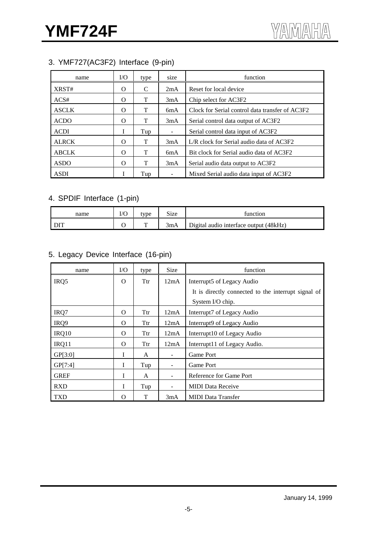## 3. YMF727(AC3F2) Interface (9-pin)

| name         | V <sub>O</sub> | type | size             | function                                        |  |  |  |  |
|--------------|----------------|------|------------------|-------------------------------------------------|--|--|--|--|
| XRST#        | Ω              | C    | 2mA              | Reset for local device                          |  |  |  |  |
| ACS#         | Ω              | T    | 3mA              | Chip select for AC3F2                           |  |  |  |  |
| <b>ASCLK</b> | O              | Т    | 6mA              | Clock for Serial control data transfer of AC3F2 |  |  |  |  |
| <b>ACDO</b>  | O              | Т    | 3mA              | Serial control data output of AC3F2             |  |  |  |  |
| <b>ACDI</b>  | T              | Tup  |                  | Serial control data input of AC3F2              |  |  |  |  |
| <b>ALRCK</b> | Ω              | Т    | 3mA              | L/R clock for Serial audio data of AC3F2        |  |  |  |  |
| <b>ABCLK</b> | O              | T    | 6 <sub>m</sub> A | Bit clock for Serial audio data of AC3F2        |  |  |  |  |
| <b>ASDO</b>  | Ω              | т    | 3mA              | Serial audio data output to AC3F2               |  |  |  |  |
| <b>ASDI</b>  |                | Tup  |                  | Mixed Serial audio data input of AC3F2          |  |  |  |  |

## 4. SPDIF Interface (1-pin)

| name | I/C | tvpe | $\sim$<br>size | function                               |
|------|-----|------|----------------|----------------------------------------|
|      |     |      | 3mA            | Digital audio interface output (48kHz) |

## 5. Legacy Device Interface (16-pin)

| name        | $\rm I/O$ | type | <b>Size</b>              | function                                            |  |  |  |  |  |
|-------------|-----------|------|--------------------------|-----------------------------------------------------|--|--|--|--|--|
| IRQ5        | $\Omega$  | Ttr  | 12mA                     | Interrupt5 of Legacy Audio                          |  |  |  |  |  |
|             |           |      |                          | It is directly connected to the interrupt signal of |  |  |  |  |  |
|             |           |      |                          | System I/O chip.                                    |  |  |  |  |  |
| IRQ7        | $\Omega$  | Ttr  | 12mA                     | Interrupt7 of Legacy Audio                          |  |  |  |  |  |
| IRQ9        | $\Omega$  | Ttr  | 12mA                     | Interrupt9 of Legacy Audio                          |  |  |  |  |  |
| IRQ10       | $\Omega$  | Ttr  | 12mA                     | Interrupt10 of Legacy Audio                         |  |  |  |  |  |
| IRQ11       | $\Omega$  | Ttr  | 12mA                     | Interrupt11 of Legacy Audio.                        |  |  |  |  |  |
| GP[3:0]     | L         | A    | $\overline{\phantom{a}}$ | Game Port                                           |  |  |  |  |  |
| GP[7:4]     | L         | Tup  |                          | Game Port                                           |  |  |  |  |  |
| <b>GREF</b> | I         | A    | $\overline{\phantom{a}}$ | Reference for Game Port                             |  |  |  |  |  |
| <b>RXD</b>  | I         | Tup  |                          | <b>MIDI</b> Data Receive                            |  |  |  |  |  |
| <b>TXD</b>  | O         | T    | 3mA                      | <b>MIDI</b> Data Transfer                           |  |  |  |  |  |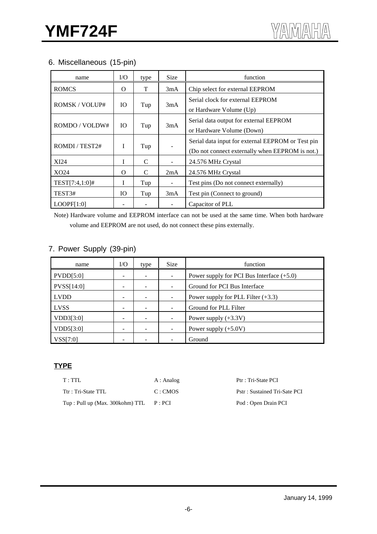## 6. Miscellaneous (15-pin)

| name           | $\rm LO$  | type | <b>Size</b> | function                                                                                             |
|----------------|-----------|------|-------------|------------------------------------------------------------------------------------------------------|
| <b>ROMCS</b>   | $\Omega$  | T    | 3mA         | Chip select for external EEPROM                                                                      |
| ROMSK/VOLUP#   | <b>IO</b> | Tup  | 3mA         | Serial clock for external EEPROM<br>or Hardware Volume (Up)                                          |
| ROMDO / VOLDW# | IO.       | Tup  | 3mA         | Serial data output for external EEPROM<br>or Hardware Volume (Down)                                  |
| ROMDI / TEST2# | L         | Tup  |             | Serial data input for external EEPROM or Test pin<br>(Do not connect externally when EEPROM is not.) |
| XI24           | L         | C    |             | 24.576 MHz Crystal                                                                                   |
| XO24           | O         | C    | 2mA         | 24.576 MHz Crystal                                                                                   |
| TEST[7:4,1:0]# | I         | Tup  |             | Test pins (Do not connect externally)                                                                |
| TEST3#         | IO.       | Tup  | 3mA         | Test pin (Connect to ground)                                                                         |
| LOOPF[1:0]     |           |      |             | Capacitor of PLL                                                                                     |

Note) Hardware volume and EEPROM interface can not be used at the same time. When both hardware volume and EEPROM are not used, do not connect these pins externally.

## 7. Power Supply (39-pin)

| name        | I/O | type | <b>Size</b> | function                                    |
|-------------|-----|------|-------------|---------------------------------------------|
| PVDD[5:0]   |     |      |             | Power supply for PCI Bus Interface $(+5.0)$ |
| PVSS[14:0]  |     |      |             | Ground for PCI Bus Interface                |
| <b>LVDD</b> |     |      |             | Power supply for PLL Filter $(+3.3)$        |
| <b>LVSS</b> |     |      |             | Ground for PLL Filter                       |
| VDD3[3:0]   |     |      |             | Power supply $(+3.3V)$                      |
| VDD5[3:0]   |     |      |             | Power supply $(+5.0V)$                      |
| VSS[7:0]    |     |      |             | Ground                                      |

## **TYPE**

| T:TTL                            | A : Analog | Ptr : Tri-State PCI          |
|----------------------------------|------------|------------------------------|
| Ttr: Tri-State TTL               | C:CMOS     | Pstr: Sustained Tri-Sate PCI |
| Tup : Pull up (Max. 300kohm) TTL | P:PCI      | Pod : Open Drain PCI         |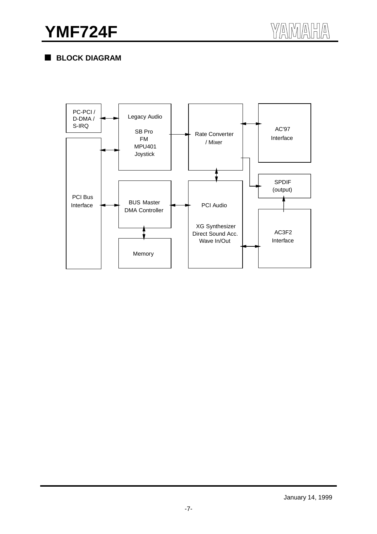**BLOCK DIAGRAM**

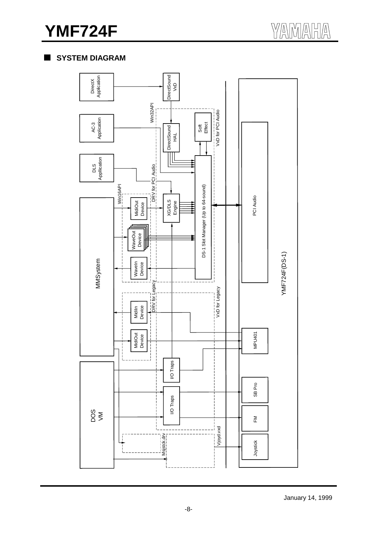## **YMF724F**

## **SYSTEM DIAGRAM**

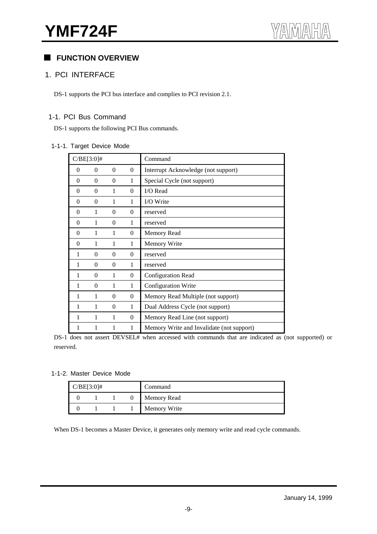## **FUNCTION OVERVIEW**

#### 1. PCI INTERFACE

DS-1 supports the PCI bus interface and complies to PCI revision 2.1.

#### 1-1. PCI Bus Command

DS-1 supports the following PCI Bus commands.

#### 1-1-1. Target Device Mode

|                | $C/BE[3:0]$ #  |          |                | Command                                   |
|----------------|----------------|----------|----------------|-------------------------------------------|
| $\theta$       | $\overline{0}$ | $\theta$ | $\overline{0}$ | Interrupt Acknowledge (not support)       |
| 0              | $\theta$       | $\theta$ | 1              | Special Cycle (not support)               |
| 0              | $\overline{0}$ | 1        | $\overline{0}$ | I/O Read                                  |
| 0              | $\overline{0}$ | 1        | $\mathbf{1}$   | I/O Write                                 |
| $\overline{0}$ | 1              | $\theta$ | $\overline{0}$ | reserved                                  |
| $\theta$       | 1              | $\theta$ | 1              | reserved                                  |
| $\theta$       | 1              | 1        | $\overline{0}$ | <b>Memory Read</b>                        |
| $\theta$       | 1              | 1        | 1              | Memory Write                              |
| 1              | $\overline{0}$ | $\theta$ | $\theta$       | reserved                                  |
| 1              | $\theta$       | $\theta$ | 1              | reserved                                  |
| 1              | $\overline{0}$ | 1        | $\overline{0}$ | Configuration Read                        |
| 1              | $\theta$       | 1        | 1              | Configuration Write                       |
| 1              | 1              | $\Omega$ | $\overline{0}$ | Memory Read Multiple (not support)        |
| 1              | 1              | $\theta$ | $\mathbf{1}$   | Dual Address Cycle (not support)          |
| 1              | 1              | 1        | $\mathbf{0}$   | Memory Read Line (not support)            |
| 1              |                | 1        | 1              | Memory Write and Invalidate (not support) |

DS-1 does not assert DEVSEL# when accessed with commands that are indicated as (not supported) or reserved.

1-1-2. Master Device Mode

| $C/BE[3:0]$ # |  | Command            |
|---------------|--|--------------------|
|               |  | <b>Memory Read</b> |
|               |  | Memory Write       |

When DS-1 becomes a Master Device, it generates only memory write and read cycle commands.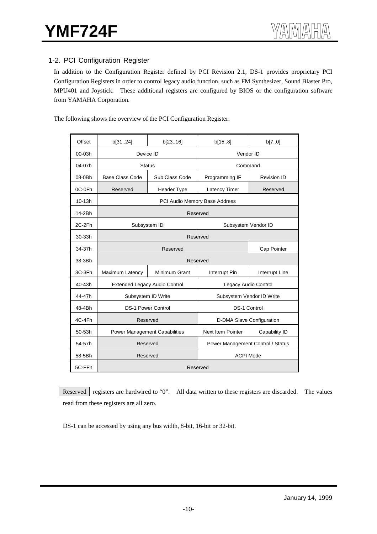## 1-2. PCI Configuration Register

In addition to the Configuration Register defined by PCI Revision 2.1, DS-1 provides proprietary PCI Configuration Registers in order to control legacy audio function, such as FM Synthesizer, Sound Blaster Pro, MPU401 and Joystick. These additional registers are configured by BIOS or the configuration software from YAMAHA Corporation.

The following shows the overview of the PCI Configuration Register.

| Offset     | b[3124]                | b[2316]                              | b[158]                               | b[70]         |  |  |
|------------|------------------------|--------------------------------------|--------------------------------------|---------------|--|--|
| $00 - 03h$ | Device ID              |                                      | Vendor ID                            |               |  |  |
| 04-07h     |                        | <b>Status</b>                        | Command                              |               |  |  |
| 08-0Bh     | <b>Base Class Code</b> | Sub Class Code                       | Programming IF<br><b>Revision ID</b> |               |  |  |
| 0C-0Fh     | Reserved               | <b>Header Type</b>                   | Latency Timer                        | Reserved      |  |  |
| 10-13h     |                        |                                      | PCI Audio Memory Base Address        |               |  |  |
| 14-2Bh     |                        | Reserved                             |                                      |               |  |  |
| 2C-2Fh     |                        | Subsystem ID                         | Subsystem Vendor ID                  |               |  |  |
| 30-33h     |                        | Reserved                             |                                      |               |  |  |
| 34-37h     |                        | Reserved                             | Cap Pointer                          |               |  |  |
| 38-3Bh     |                        |                                      | Reserved                             |               |  |  |
| 3C-3Fh     | Maximum Latency        | Minimum Grant                        | Interrupt Line<br>Interrupt Pin      |               |  |  |
| 40-43h     |                        | <b>Extended Legacy Audio Control</b> | Legacy Audio Control                 |               |  |  |
| 44-47h     |                        | Subsystem ID Write                   | Subsystem Vendor ID Write            |               |  |  |
| 48-4Bh     |                        | <b>DS-1 Power Control</b>            | <b>DS-1 Control</b>                  |               |  |  |
| 4C-4Fh     |                        | Reserved                             | D-DMA Slave Configuration            |               |  |  |
| 50-53h     |                        |                                      | <b>Next Item Pointer</b>             |               |  |  |
|            |                        | <b>Power Management Capabilities</b> |                                      | Capability ID |  |  |
| 54-57h     |                        | Reserved                             | Power Management Control / Status    |               |  |  |
| 58-5Bh     |                        | Reserved                             | <b>ACPI Mode</b>                     |               |  |  |
| 5C-FFh     |                        |                                      | Reserved                             |               |  |  |

Reserved registers are hardwired to "0". All data written to these registers are discarded. The values read from these registers are all zero.

DS-1 can be accessed by using any bus width, 8-bit, 16-bit or 32-bit.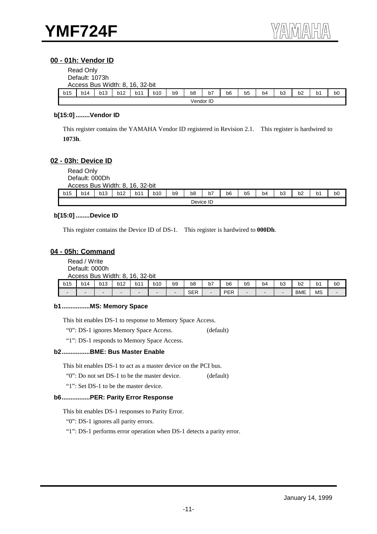#### **00 - 01h: Vendor ID**

|     | Read Only<br>Default: 1073h<br>Access Bus Width: 8, 16, 32-bit |     |     |     |     |                |    |    |                |    |                |                |    |                |                |
|-----|----------------------------------------------------------------|-----|-----|-----|-----|----------------|----|----|----------------|----|----------------|----------------|----|----------------|----------------|
| b15 | b14                                                            | b13 | b12 | b11 | b10 | b <sub>9</sub> | b8 | b7 | b <sub>6</sub> | b5 | b <sub>4</sub> | b <sub>3</sub> | b2 | b <sub>1</sub> | b <sub>0</sub> |
|     | Vendor ID                                                      |     |     |     |     |                |    |    |                |    |                |                |    |                |                |

#### **b[15:0] ........Vendor ID**

This register contains the YAMAHA Vendor ID registered in Revision 2.1. This register is hardwired to **1073h**.

#### **02 - 03h: Device ID**

|                                                                                                                                                                                                                 | Read Only<br>Default: 000Dh |  |  |  |  |  |  |           |  |  |  |  |  |  |
|-----------------------------------------------------------------------------------------------------------------------------------------------------------------------------------------------------------------|-----------------------------|--|--|--|--|--|--|-----------|--|--|--|--|--|--|
| Access Bus Width: 8, 16, 32-bit<br>b15<br><b>b12</b><br>b7<br>b <sub>9</sub><br>b14<br>b13<br>b11<br><b>b10</b><br>b6<br>b <sub>8</sub><br>b3<br>b <sub>5</sub><br>b <sub>2</sub><br>b4<br>b1<br>b <sub>0</sub> |                             |  |  |  |  |  |  |           |  |  |  |  |  |  |
|                                                                                                                                                                                                                 |                             |  |  |  |  |  |  | Device ID |  |  |  |  |  |  |

#### **b[15:0] ........Device ID**

This register contains the Device ID of DS-1. This register is hardwired to **000Dh**.

#### **04 - 05h: Command**

Read / Write Default: 0000h Access Bus Width: 8, 16, 32-bit

| b15 | b14    | b13 | <b>b12</b>               | b11 | b10 | b9                       | b8<br>$ -$    | -<br>b7 | b6  | --<br>b5<br>- - | b4                       | $\mathbf{L}$<br>DJ | $h^{\prime}$<br>υz | p.<br>$\sim$ | b0 |
|-----|--------|-----|--------------------------|-----|-----|--------------------------|---------------|---------|-----|-----------------|--------------------------|--------------------|--------------------|--------------|----|
|     | $\sim$ |     | $\overline{\phantom{0}}$ |     |     | $\overline{\phantom{0}}$ | $\cap$<br>◡∟∩ |         | PER |                 | $\overline{\phantom{0}}$ |                    | <b>BME</b>         | <b>MS</b>    |    |

#### **b1................MS: Memory Space**

This bit enables DS-1 to response to Memory Space Access.

"0": DS-1 ignores Memory Space Access. (default)

"1": DS-1 responds to Memory Space Access.

#### **b2................BME: Bus Master Enable**

This bit enables DS-1 to act as a master device on the PCI bus.

"0": Do not set DS-1 to be the master device. (default)

"1": Set DS-1 to be the master device.

#### **b6................PER: Parity Error Response**

This bit enables DS-1 responses to Parity Error.

"0": DS-1 ignores all parity errors.

"1": DS-1 performs error operation when DS-1 detects a parity error.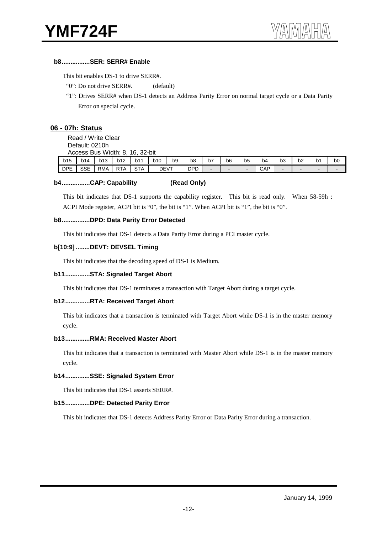#### **b8................SER: SERR# Enable**

This bit enables DS-1 to drive SERR#.

- "0": Do not drive SERR#. (default)
- "1": Drives SERR# when DS-1 detects an Address Parity Error on normal target cycle or a Data Parity Error on special cycle.

#### **06 - 07h: Status**

Read / Write Clear

Default: 0210h

|            | Access Bus Width: 8.<br>16. 32-bit |            |            |            |            |    |                |    |        |                |     |    |    |                          |                |
|------------|------------------------------------|------------|------------|------------|------------|----|----------------|----|--------|----------------|-----|----|----|--------------------------|----------------|
| b15        | b14                                | b13        | b12        | b11        | <b>b10</b> | b9 | b <sub>8</sub> | b7 | b6     | b <sub>5</sub> | b4  | b3 | b2 | b1                       | b <sub>0</sub> |
| <b>DPE</b> | <b>SSE</b>                         | <b>RMA</b> | <b>RTA</b> | <b>STA</b> | DEVT       |    | <b>DPD</b>     | -  | $\sim$ | -              | CAP |    | -  | $\overline{\phantom{a}}$ | ۰.             |

#### **b4................CAP: Capability (Read Only)**

This bit indicates that DS-1 supports the capability register. This bit is read only. When 58-59h : ACPI Mode register, ACPI bit is "0", the bit is "1". When ACPI bit is "1", the bit is "0".

#### **b8................DPD: Data Parity Error Detected**

This bit indicates that DS-1 detects a Data Parity Error during a PCI master cycle.

#### **b[10:9] ........DEVT: DEVSEL Timing**

This bit indicates that the decoding speed of DS-1 is Medium.

#### **b11..............STA: Signaled Target Abort**

This bit indicates that DS-1 terminates a transaction with Target Abort during a target cycle.

#### **b12..............RTA: Received Target Abort**

This bit indicates that a transaction is terminated with Target Abort while DS-1 is in the master memory cycle.

#### **b13..............RMA: Received Master Abort**

This bit indicates that a transaction is terminated with Master Abort while DS-1 is in the master memory cycle.

#### **b14..............SSE: Signaled System Error**

This bit indicates that DS-1 asserts SERR#.

#### **b15..............DPE: Detected Parity Error**

This bit indicates that DS-1 detects Address Parity Error or Data Parity Error during a transaction.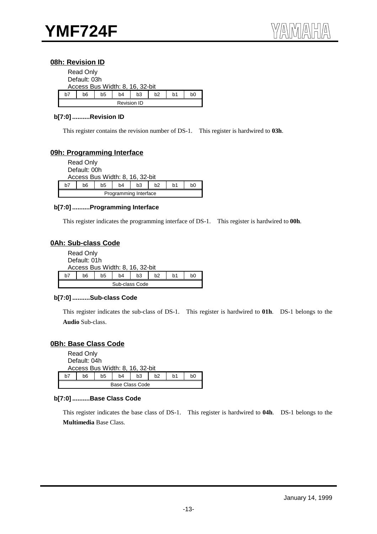#### **08h: Revision ID**

|    | <b>Read Only</b><br>Default: 03h |    | Access Bus Width: 8, 16, 32-bit |    |                |    |    |  |  |  |  |  |
|----|----------------------------------|----|---------------------------------|----|----------------|----|----|--|--|--|--|--|
| h7 | h6                               | b5 | b4                              | b3 | b <sub>2</sub> | b1 | b0 |  |  |  |  |  |
|    | <b>Revision ID</b>               |    |                                 |    |                |    |    |  |  |  |  |  |

#### **b[7:0] ..........Revision ID**

This register contains the revision number of DS-1. This register is hardwired to **03h**.

#### **09h: Programming Interface**

|              | <b>Read Only</b>                |    |    |    |    |    |    |  |  |  |  |  |  |
|--------------|---------------------------------|----|----|----|----|----|----|--|--|--|--|--|--|
| Default: 00h |                                 |    |    |    |    |    |    |  |  |  |  |  |  |
|              | Access Bus Width: 8, 16, 32-bit |    |    |    |    |    |    |  |  |  |  |  |  |
| h7           | b6                              | b5 | b4 | b3 | b2 | b1 | b0 |  |  |  |  |  |  |
|              | Programming Interface           |    |    |    |    |    |    |  |  |  |  |  |  |

#### **b[7:0] ..........Programming Interface**

This register indicates the programming interface of DS-1. This register is hardwired to **00h**.

#### **0Ah: Sub-class Code**

|    | Read Only<br>Default: 01h |    | Access Bus Width: 8, 16, 32-bit |    |    |                |    |  |  |  |  |  |
|----|---------------------------|----|---------------------------------|----|----|----------------|----|--|--|--|--|--|
| h7 | b6                        | b5 | b4                              | b3 | h2 | h <sub>1</sub> | b0 |  |  |  |  |  |
|    | Sub-class Code            |    |                                 |    |    |                |    |  |  |  |  |  |

#### **b[7:0] ..........Sub-class Code**

This register indicates the sub-class of DS-1. This register is hardwired to **01h**. DS-1 belongs to the **Audio** Sub-class.

#### **0Bh: Base Class Code**

|    | Read Only<br>Default: 04h       |    |    |    |    |    |    |  |  |  |  |  |  |
|----|---------------------------------|----|----|----|----|----|----|--|--|--|--|--|--|
|    | Access Bus Width: 8, 16, 32-bit |    |    |    |    |    |    |  |  |  |  |  |  |
| h7 | b6                              | b5 | b4 | b3 | h2 | b1 | b0 |  |  |  |  |  |  |
|    | Base Class Code                 |    |    |    |    |    |    |  |  |  |  |  |  |

#### **b[7:0] ..........Base Class Code**

This register indicates the base class of DS-1. This register is hardwired to **04h**. DS-1 belongs to the **Multimedia** Base Class.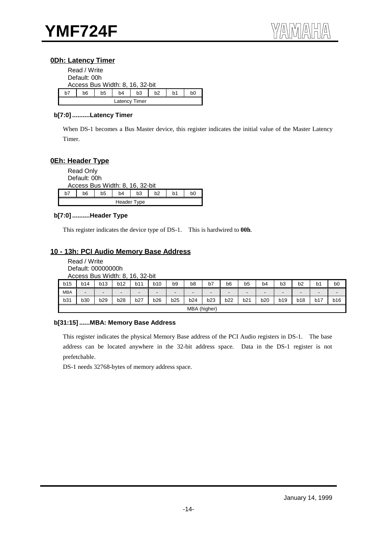#### **0Dh: Latency Timer**

| Read / Write |              |    |                                 |               |    |    |    |  |  |  |  |  |  |
|--------------|--------------|----|---------------------------------|---------------|----|----|----|--|--|--|--|--|--|
|              | Default: 00h |    |                                 |               |    |    |    |  |  |  |  |  |  |
|              |              |    | Access Bus Width: 8, 16, 32-bit |               |    |    |    |  |  |  |  |  |  |
| h7           | b6           | b5 | b4                              | b3            | b2 | b1 | bΩ |  |  |  |  |  |  |
|              |              |    |                                 | Latency Timer |    |    |    |  |  |  |  |  |  |

#### **b[7:0] ..........Latency Timer**

When DS-1 becomes a Bus Master device, this register indicates the initial value of the Master Latency Timer.

## **0Eh: Header Type**

|    | <b>Read Only</b><br>Default: 00h |    |    | Access Bus Width: 8, 16, 32-bit |    |    |    |  |  |  |  |  |
|----|----------------------------------|----|----|---------------------------------|----|----|----|--|--|--|--|--|
| b7 | b6                               | b5 | b4 | b3                              | h2 | b1 | b0 |  |  |  |  |  |
|    | Header Type                      |    |    |                                 |    |    |    |  |  |  |  |  |

#### **b[7:0] ..........Header Type**

This register indicates the device type of DS-1. This is hardwired to **00h**.

#### **10 - 13h: PCI Audio Memory Base Address**

| Read / Write                    |
|---------------------------------|
| Default: 00000000h              |
| Access Bus Width: 8, 16, 32-bit |

| b15        | b14                      | b13 | <b>b12</b>     | b11                      | <b>b10</b>     | b9                       | b <sub>8</sub>  | b7             | b6                       | b <sub>5</sub> | b <sub>4</sub> | b <sub>3</sub>           | b2                       | b <sub>1</sub>           | b <sub>0</sub> |
|------------|--------------------------|-----|----------------|--------------------------|----------------|--------------------------|-----------------|----------------|--------------------------|----------------|----------------|--------------------------|--------------------------|--------------------------|----------------|
| <b>MBA</b> | $\overline{\phantom{a}}$ | -   | $\blacksquare$ | $\overline{\phantom{a}}$ | $\blacksquare$ | $\overline{\phantom{a}}$ | $\qquad \qquad$ | $\blacksquare$ | $\overline{\phantom{a}}$ |                | $\blacksquare$ | $\overline{\phantom{a}}$ | $\overline{\phantom{0}}$ | $\overline{\phantom{a}}$ | $\blacksquare$ |
| b31        | b30                      | b29 | <b>b28</b>     | <b>b27</b>               | b26            | b25                      | b24             | b23            | b22                      | b21            | <b>b20</b>     | b19                      | <b>b18</b>               | b17                      | b16            |
|            | MBA (higher)             |     |                |                          |                |                          |                 |                |                          |                |                |                          |                          |                          |                |

#### **b[31:15] ......MBA: Memory Base Address**

This register indicates the physical Memory Base address of the PCI Audio registers in DS-1. The base address can be located anywhere in the 32-bit address space. Data in the DS-1 register is not prefetchable.

DS-1 needs 32768-bytes of memory address space.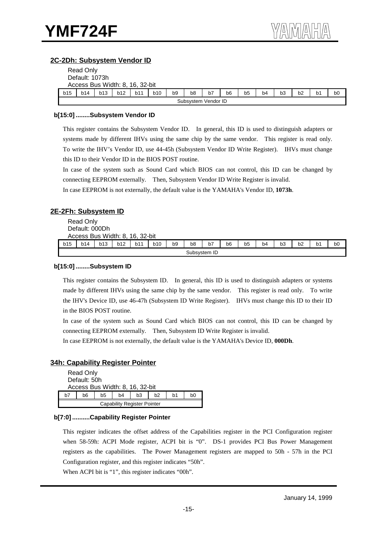#### **2C-2Dh: Subsystem Vendor ID**

|     | Read Only                                                                                                                                                      |  |  |  |  |  |  |                     |  |  |  |  |  |  |  |
|-----|----------------------------------------------------------------------------------------------------------------------------------------------------------------|--|--|--|--|--|--|---------------------|--|--|--|--|--|--|--|
|     | Default: 1073h                                                                                                                                                 |  |  |  |  |  |  |                     |  |  |  |  |  |  |  |
|     | Access Bus Width: 8, 16, 32-bit                                                                                                                                |  |  |  |  |  |  |                     |  |  |  |  |  |  |  |
| b15 | <b>b12</b><br>b7<br>b <sub>1</sub><br>b13<br>b10<br>b9<br>b <sub>4</sub><br>b <sub>3</sub><br>b11<br>b <sub>6</sub><br>b14<br>b <sub>0</sub><br>b8<br>b5<br>b2 |  |  |  |  |  |  |                     |  |  |  |  |  |  |  |
|     |                                                                                                                                                                |  |  |  |  |  |  | Subsystem Vendor ID |  |  |  |  |  |  |  |

#### **b[15:0] ........Subsystem Vendor ID**

This register contains the Subsystem Vendor ID. In general, this ID is used to distinguish adapters or systems made by different IHVs using the same chip by the same vendor. This register is read only. To write the IHV's Vendor ID, use 44-45h (Subsystem Vendor ID Write Register). IHVs must change this ID to their Vendor ID in the BIOS POST routine.

In case of the system such as Sound Card which BIOS can not control, this ID can be changed by connecting EEPROM externally. Then, Subsystem Vendor ID Write Register is invalid.

In case EEPROM is not externally, the default value is the YAMAHA's Vendor ID, **1073h**.

#### **2E-2Fh: Subsystem ID**

Read Only Default: 000Dh

Access Bus Width: 8, 16, 32-bit

|            | .            |     |     |     |            |    |                |    |    |                |    |    |                    |    |                |
|------------|--------------|-----|-----|-----|------------|----|----------------|----|----|----------------|----|----|--------------------|----|----------------|
| <b>b15</b> | b14          | b13 | b12 | b11 | <b>b10</b> | b9 | b <sub>8</sub> | b7 | b6 | b <sub>5</sub> | b4 | b3 | $h^{\prime}$<br>υz | ο1 | b <sub>0</sub> |
|            | Subsystem ID |     |     |     |            |    |                |    |    |                |    |    |                    |    |                |

#### **b[15:0] ........Subsystem ID**

This register contains the Subsystem ID. In general, this ID is used to distinguish adapters or systems made by different IHVs using the same chip by the same vendor. This register is read only. To write the IHV's Device ID, use 46-47h (Subsystem ID Write Register). IHVs must change this ID to their ID in the BIOS POST routine.

In case of the system such as Sound Card which BIOS can not control, this ID can be changed by connecting EEPROM externally. Then, Subsystem ID Write Register is invalid.

In case EEPROM is not externally, the default value is the YAMAHA's Device ID, **000Dh**.

#### **34h: Capability Register Pointer**

|    | <b>Read Only</b>                   |    |                                 |    |                |    |    |  |  |  |  |
|----|------------------------------------|----|---------------------------------|----|----------------|----|----|--|--|--|--|
|    | Default: 50h                       |    |                                 |    |                |    |    |  |  |  |  |
|    |                                    |    | Access Bus Width: 8, 16, 32-bit |    |                |    |    |  |  |  |  |
| h7 | b6                                 | b5 | b4                              | b3 | h <sub>2</sub> | b1 | b0 |  |  |  |  |
|    | <b>Capability Register Pointer</b> |    |                                 |    |                |    |    |  |  |  |  |

#### **b[7:0] ..........Capability Register Pointer**

This register indicates the offset address of the Capabilities register in the PCI Configuration register when 58-59h: ACPI Mode register, ACPI bit is "0". DS-1 provides PCI Bus Power Management registers as the capabilities. The Power Management registers are mapped to 50h - 57h in the PCI Configuration register, and this register indicates "50h".

When ACPI bit is "1", this register indicates "00h".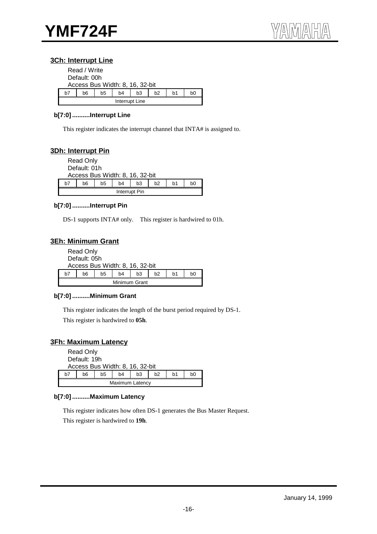#### **3Ch: Interrupt Line**

|    | Read / Write                    |    |    |    |    |    |    |  |  |  |  |  |
|----|---------------------------------|----|----|----|----|----|----|--|--|--|--|--|
|    | Default: 00h                    |    |    |    |    |    |    |  |  |  |  |  |
|    | Access Bus Width: 8, 16, 32-bit |    |    |    |    |    |    |  |  |  |  |  |
| h7 | b6                              | b5 | b4 | b3 | b2 | b1 | bΩ |  |  |  |  |  |
|    | Interrupt Line                  |    |    |    |    |    |    |  |  |  |  |  |

#### **b[7:0] ..........Interrupt Line**

This register indicates the interrupt channel that INTA# is assigned to.

#### **3Dh: Interrupt Pin**

|    | <b>Read Only</b><br>Default: 01h |    |                                 |               |                |    |    |
|----|----------------------------------|----|---------------------------------|---------------|----------------|----|----|
|    |                                  |    | Access Bus Width: 8, 16, 32-bit |               |                |    |    |
| h7 | b6                               | b5 | b <sub>4</sub>                  | b3            | b <sub>2</sub> | b1 | b0 |
|    |                                  |    |                                 | Interrupt Pin |                |    |    |

#### **b[7:0] ..........Interrupt Pin**

DS-1 supports INTA# only. This register is hardwired to 01h.

#### **3Eh: Minimum Grant**

|    | <b>Read Only</b>                |    |               |    |    |    |    |  |  |  |  |  |
|----|---------------------------------|----|---------------|----|----|----|----|--|--|--|--|--|
|    | Default: 05h                    |    |               |    |    |    |    |  |  |  |  |  |
|    | Access Bus Width: 8, 16, 32-bit |    |               |    |    |    |    |  |  |  |  |  |
| h7 | b6                              | b5 | b4            | b3 | h2 | b1 | b0 |  |  |  |  |  |
|    |                                 |    | Minimum Grant |    |    |    |    |  |  |  |  |  |

#### **b[7:0] ..........Minimum Grant**

This register indicates the length of the burst period required by DS-1. This register is hardwired to **05h**.

#### **3Fh: Maximum Latency**

|    | <b>Read Only</b><br>Default: 19h | Access Bus Width: 8, 16, 32-bit |    |                |    |    |    |  |  |  |  |
|----|----------------------------------|---------------------------------|----|----------------|----|----|----|--|--|--|--|
| h7 | b6                               | b5                              | b4 | b <sub>3</sub> | b2 | b1 | b0 |  |  |  |  |
|    | Maximum Latency                  |                                 |    |                |    |    |    |  |  |  |  |

#### **b[7:0] ..........Maximum Latency**

This register indicates how often DS-1 generates the Bus Master Request. This register is hardwired to **19h**.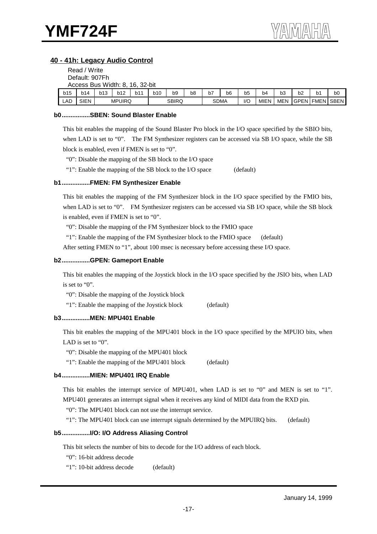#### **40 - 41h: Legacy Audio Control**

|                | Read / Write                    |            |               |     |     |              |                |             |                |     |      |                |    |                |                       |
|----------------|---------------------------------|------------|---------------|-----|-----|--------------|----------------|-------------|----------------|-----|------|----------------|----|----------------|-----------------------|
| Default: 907Fh |                                 |            |               |     |     |              |                |             |                |     |      |                |    |                |                       |
|                | Access Bus Width: 8, 16, 32-bit |            |               |     |     |              |                |             |                |     |      |                |    |                |                       |
| b15            | b14                             | <b>b13</b> | <b>b12</b>    | b11 | b10 | b9           | b <sub>8</sub> | b7          | b <sub>6</sub> | b5  | b4   | b <sub>3</sub> | b2 | b <sub>1</sub> | b0                    |
| LAD            | <b>SIEN</b>                     |            | <b>MPUIRQ</b> |     |     | <b>SBIRQ</b> |                | <b>SDMA</b> |                | I/C | MIEN | MEN            |    |                | <b>GPEN FMEN SBEN</b> |

#### **b0................SBEN: Sound Blaster Enable**

This bit enables the mapping of the Sound Blaster Pro block in the I/O space specified by the SBIO bits, when LAD is set to "0". The FM Synthesizer registers can be accessed via SB I/O space, while the SB block is enabled, even if FMEN is set to "0".

"0": Disable the mapping of the SB block to the I/O space

"1": Enable the mapping of the SB block to the I/O space (default)

#### **b1................FMEN: FM Synthesizer Enable**

This bit enables the mapping of the FM Synthesizer block in the I/O space specified by the FMIO bits, when LAD is set to "0". FM Synthesizer registers can be accessed via SB I/O space, while the SB block is enabled, even if FMEN is set to "0".

"0": Disable the mapping of the FM Synthesizer block to the FMIO space

"1": Enable the mapping of the FM Synthesizer block to the FMIO space (default)

After setting FMEN to "1", about 100 msec is necessary before accessing these I/O space.

#### **b2................GPEN: Gameport Enable**

This bit enables the mapping of the Joystick block in the I/O space specified by the JSIO bits, when LAD is set to "0".

"0": Disable the mapping of the Joystick block

"1": Enable the mapping of the Joystick block (default)

#### **b3................MEN: MPU401 Enable**

This bit enables the mapping of the MPU401 block in the I/O space specified by the MPUIO bits, when LAD is set to "0".

"0": Disable the mapping of the MPU401 block

"1": Enable the mapping of the MPU401 block (default)

#### **b4................MIEN: MPU401 IRQ Enable**

This bit enables the interrupt service of MPU401, when LAD is set to "0" and MEN is set to "1". MPU401 generates an interrupt signal when it receives any kind of MIDI data from the RXD pin.

"0": The MPU401 block can not use the interrupt service.

"1": The MPU401 block can use interrupt signals determined by the MPUIRQ bits. (default)

#### **b5................I/O: I/O Address Aliasing Control**

This bit selects the number of bits to decode for the I/O address of each block.

"0": 16-bit address decode

"1": 10-bit address decode (default)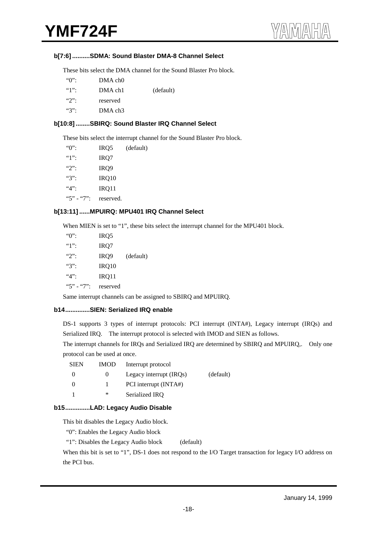#### **b[7:6] ..........SDMA: Sound Blaster DMA-8 Channel Select**

These bits select the DMA channel for the Sound Blaster Pro block.

| $\lq\lq\lq\lq\lq\lq\lq\lq$ | DMA ch <sub>0</sub> |           |
|----------------------------|---------------------|-----------|
|                            | DMA ch1             | (default) |
| $\mathcal{L}$              | reserved            |           |
| $\lq\lq\lq\lq\lq\lq\lq$    | DMA ch <sub>3</sub> |           |

#### **b[10:8] ........SBIRQ: Sound Blaster IRQ Channel Select**

These bits select the interrupt channel for the Sound Blaster Pro block.

| $\lq\lq$      | IRQ <sub>5</sub> | (default) |
|---------------|------------------|-----------|
| $"1"$ :       | IRQ7             |           |
| $"2"$ :       | IRQ <sub>9</sub> |           |
| $\mathscr{C}$ | IRQ10            |           |
| $4$ .         | IRQ11            |           |
| $"5" - "7"$   | reserved.        |           |

#### **b[13:11] ......MPUIRQ: MPU401 IRQ Channel Select**

When MIEN is set to "1", these bits select the interrupt channel for the MPU401 block.

| $"()"$ :                   | IRQ5     |           |
|----------------------------|----------|-----------|
| $\lq\lq\lq\lq\lq\lq\lq\lq$ | IRQ7     |           |
| $"2"$ :                    | IRQ9     | (default) |
| $"3"$ :                    | IRQ10    |           |
| 4.4                        | IRQ11    |           |
| $"5" - "7"$                | reserved |           |
|                            |          |           |

Same interrupt channels can be assigned to SBIRQ and MPUIRQ.

#### **b14..............SIEN: Serialized IRQ enable**

DS-1 supports 3 types of interrupt protocols: PCI interrupt (INTA#), Legacy interrupt (IRQs) and Serialized IRQ. The interrupt protocol is selected with IMOD and SIEN as follows.

The interrupt channels for IRQs and Serialized IRQ are determined by SBIRQ and MPUIRQ,. Only one protocol can be used at once.

| SIEN     | <b>IMOD</b> | Interrupt protocol      |           |
|----------|-------------|-------------------------|-----------|
| $\Omega$ | $^{(1)}$    | Legacy interrupt (IRQs) | (default) |
| $\Omega$ |             | PCI interrupt (INTA#)   |           |
|          | ∗           | Serialized IRO          |           |

#### **b15..............LAD: Legacy Audio Disable**

This bit disables the Legacy Audio block.

"0": Enables the Legacy Audio block

"1": Disables the Legacy Audio block (default)

When this bit is set to "1", DS-1 does not respond to the I/O Target transaction for legacy I/O address on the PCI bus.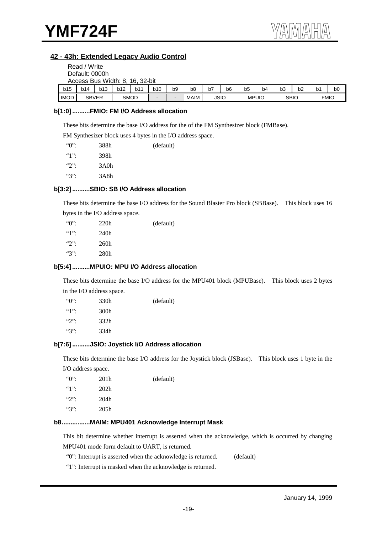#### **42 - 43h: Extended Legacy Audio Control**

|                                                                                                                                                               | Read / Write<br>Default: 0000h |     | Access Bus Width: 8, 16, 32-bit |     |     |    |                |    |    |    |    |    |    |                |    |
|---------------------------------------------------------------------------------------------------------------------------------------------------------------|--------------------------------|-----|---------------------------------|-----|-----|----|----------------|----|----|----|----|----|----|----------------|----|
| b15                                                                                                                                                           | <b>b14</b>                     | b13 | b12                             | b11 | b10 | b9 | b <sub>8</sub> | b7 | b6 | b5 | b4 | b3 | b2 | b <sub>1</sub> | b0 |
| <b>IMOD</b><br><b>SMOD</b><br>MAIM<br><b>JSIO</b><br><b>FMIO</b><br><b>SBVER</b><br><b>SBIO</b><br><b>MPUIO</b><br>$\blacksquare$<br>$\overline{\phantom{0}}$ |                                |     |                                 |     |     |    |                |    |    |    |    |    |    |                |    |

#### **b[1:0] ..........FMIO: FM I/O Address allocation**

These bits determine the base I/O address for the of the FM Synthesizer block (FMBase).

FM Synthesizer block uses 4 bytes in the I/O address space.

| " $0$ ":      | 388h | (default) |
|---------------|------|-----------|
|               | 398h |           |
| $\mathcal{L}$ | 3A0h |           |
| $``3"$ :      | 3A8h |           |
|               |      |           |

#### **b[3:2] ..........SBIO: SB I/O Address allocation**

These bits determine the base I/O address for the Sound Blaster Pro block (SBBase). This block uses 16 bytes in the I/O address space.

| $\degree$ 0.  | 220h | (default) |
|---------------|------|-----------|
|               | 240h |           |
| $\mathcal{L}$ | 260h |           |
| $``3"$ :      | 280h |           |

#### **b[5:4] ..........MPUIO: MPU I/O Address allocation**

These bits determine the base I/O address for the MPU401 block (MPUBase). This block uses 2 bytes in the I/O address space.

| $\lq\lq\lq\lq\lq\lq\lq\lq$             | 330h | (default) |
|----------------------------------------|------|-----------|
| $\lq\lq\lq\lq\lq\lq\lq\lq\lq\lq\lq\lq$ | 300h |           |
| $\mathcal{L}$                          | 332h |           |
| ``3"                                   | 334h |           |

#### **b[7:6] ..........JSIO: Joystick I/O Address allocation**

These bits determine the base I/O address for the Joystick block (JSBase). This block uses 1 byte in the I/O address space.

| $\lq\lq\lq\lq\lq\lq\lq\lq$ | 201 <sub>h</sub> | (default) |
|----------------------------|------------------|-----------|
| $"1"$ :                    | 202 <sub>h</sub> |           |
| $\mathcal{L}$              | 204h             |           |
| $\mathscr{C}$              | 205h             |           |
|                            |                  |           |

#### **b8................MAIM: MPU401 Acknowledge Interrupt Mask**

This bit determine whether interrupt is asserted when the acknowledge, which is occurred by changing MPU401 mode form default to UART, is returned.

"0": Interrupt is asserted when the acknowledge is returned. (default)

"1": Interrupt is masked when the acknowledge is returned.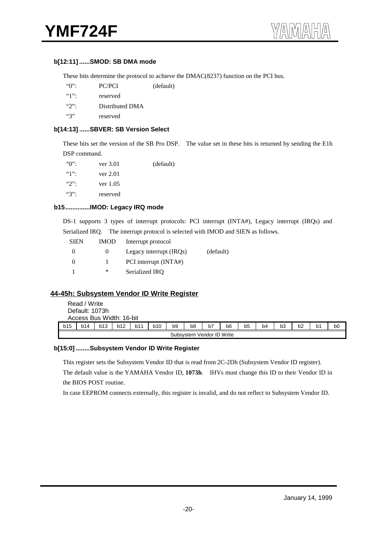#### **b[12:11] ......SMOD: SB DMA mode**

These bits determine the protocol to achieve the DMAC(8237) function on the PCI bus.

| $\lq\lq\lq\lq\lq\lq\lq$ | PC/PCI | (default) |
|-------------------------|--------|-----------|
|                         |        |           |

"1": reserved

"2": Distributed DMA

"3" reserved

#### **b[14:13] ......SBVER: SB Version Select**

These bits set the version of the SB Pro DSP. The value set in these bits is returned by sending the E1h DSP command.

| $\lq\lq\lq\lq\lq\lq\lq\lq$ | ver 3.01   | (default) |
|----------------------------|------------|-----------|
|                            | ver 2.01   |           |
| $\mathcal{L}$              | ver $1.05$ |           |
| $\lq\lq\lq\lq\lq\lq\lq$    | reserved   |           |

#### **b15..............IMOD: Legacy IRQ mode**

DS-1 supports 3 types of interrupt protocols: PCI interrupt (INTA#), Legacy interrupt (IRQs) and Serialized IRQ. The interrupt protocol is selected with IMOD and SIEN as follows.

| <b>SIEN</b> | <b>IMOD</b> | Interrupt protocol      |           |
|-------------|-------------|-------------------------|-----------|
| $\Omega$    | $\theta$    | Legacy interrupt (IRQs) | (default) |
| $\Omega$    |             | PCI interrupt (INTA#)   |           |
|             | ∗           | Serialized IRO          |           |

#### **44-45h: Subsystem Vendor ID Write Register**

|     | Read / Write<br>Default: 1073h | Access Bus Width: 16-bit |     |     |     |                |                           |    |    |    |    |                |    |    |    |
|-----|--------------------------------|--------------------------|-----|-----|-----|----------------|---------------------------|----|----|----|----|----------------|----|----|----|
| b15 | b14                            | <b>b13</b>               | b12 | b11 | b10 | b <sub>9</sub> | b8                        | b7 | b6 | b5 | b4 | b <sub>3</sub> | b2 | b1 | bO |
|     |                                |                          |     |     |     |                | Subsystem Vendor ID Write |    |    |    |    |                |    |    |    |

#### **b[15:0] ........Subsystem Vendor ID Write Register**

This register sets the Subsystem Vendor ID that is read from 2C-2Dh (Subsystem Vendor ID register).

The default value is the YAMAHA Vendor ID, **1073h**.IHVs must change this ID to their Vendor ID in the BIOS POST routine.

In case EEPROM connects externally, this register is invalid, and do not reflect to Subsystem Vendor ID.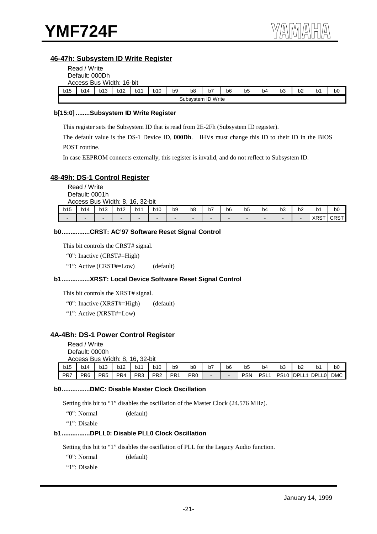#### **46-47h: Subsystem ID Write Register**

|                | Read / Write |                          |     |     |     |    |                    |    |    |    |    |                |    |    |    |
|----------------|--------------|--------------------------|-----|-----|-----|----|--------------------|----|----|----|----|----------------|----|----|----|
| Default: 000Dh |              |                          |     |     |     |    |                    |    |    |    |    |                |    |    |    |
|                |              | Access Bus Width: 16-bit |     |     |     |    |                    |    |    |    |    |                |    |    |    |
| b15            | <b>b14</b>   | b13                      | b12 | b11 | b10 | b9 | b8                 | b7 | b6 | b5 | b4 | b <sub>3</sub> | b2 | b1 | b0 |
|                |              |                          |     |     |     |    | Subsystem ID Write |    |    |    |    |                |    |    |    |

#### **b[15:0] ........Subsystem ID Write Register**

This register sets the Subsystem ID that is read from 2E-2Fh (Subsystem ID register).

The default value is the DS-1 Device ID, **000Dh**. IHVs must change this ID to their ID in the BIOS POST routine.

In case EEPROM connects externally, this register is invalid, and do not reflect to Subsystem ID.

#### **48-49h: DS-1 Control Register**

Read / Write Default: 0001h Access Bus Width: 8, 16, 32-bit

| b15 | b14 | b13 | <b>b12</b> | b1 <sup>4</sup> | <b>b10</b> | b9 | b <sub>8</sub><br>- - | --<br>D/ | b6                       | b <sub>5</sub><br>- - | b4 | $\sim$ $\sim$<br>рკ      | b <sub>2</sub> | b1<br>$\sim$       | b0          |
|-----|-----|-----|------------|-----------------|------------|----|-----------------------|----------|--------------------------|-----------------------|----|--------------------------|----------------|--------------------|-------------|
|     |     |     | -          |                 |            |    | -                     |          | $\overline{\phantom{a}}$ |                       |    | $\overline{\phantom{a}}$ | -              | <b>VDOT</b><br>XRS | <b>CRST</b> |

#### **b0................CRST: AC'97 Software Reset Signal Control**

This bit controls the CRST# signal.

"0": Inactive (CRST#=High)

"1": Active (CRST#=Low) (default)

#### **b1................XRST: Local Device Software Reset Signal Control**

This bit controls the XRST# signal.

"0": Inactive (XRST#=High) (default)

"1": Active (XRST#=Low)

#### **4A-4Bh: DS-1 Power Control Register**

Read / Write Default: 0000h Access Bus Width: 8, 16, 32-bit

| b15 | b14 | b13             | b12             | b11             | <b>b10</b>      | b9  | b8              | b7                       | b6 | b5         | b4               | bЗ               | b2     | b1       | b0         |
|-----|-----|-----------------|-----------------|-----------------|-----------------|-----|-----------------|--------------------------|----|------------|------------------|------------------|--------|----------|------------|
| PR7 | PR6 | PR <sub>5</sub> | PR <sub>4</sub> | PR <sub>3</sub> | PR <sub>2</sub> | PR1 | PR <sub>0</sub> | $\overline{\phantom{0}}$ |    | <b>PSN</b> | PSL <sub>1</sub> | PSL <sub>0</sub> | IDPLL. | I IDPLL0 | <b>DMC</b> |

#### **b0................DMC: Disable Master Clock Oscillation**

Setting this bit to "1" disables the oscillation of the Master Clock (24.576 MHz).

"0": Normal (default)

"1": Disable

#### **b1................DPLL0: Disable PLL0 Clock Oscillation**

Setting this bit to "1" disables the oscillation of PLL for the Legacy Audio function.

"0": Normal (default)

"1": Disable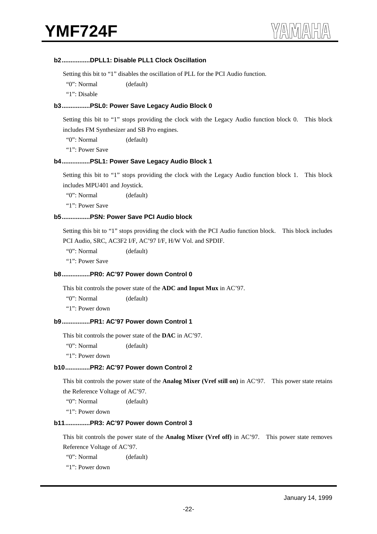#### **b2................DPLL1: Disable PLL1 Clock Oscillation**

Setting this bit to "1" disables the oscillation of PLL for the PCI Audio function.

"0": Normal (default)

"1": Disable

#### **b3................PSL0: Power Save Legacy Audio Block 0**

Setting this bit to "1" stops providing the clock with the Legacy Audio function block 0. This block includes FM Synthesizer and SB Pro engines.

"0": Normal (default)

"1": Power Save

#### **b4................PSL1: Power Save Legacy Audio Block 1**

Setting this bit to "1" stops providing the clock with the Legacy Audio function block 1. This block includes MPU401 and Joystick.

"0": Normal (default)

"1": Power Save

#### **b5................PSN: Power Save PCI Audio block**

Setting this bit to "1" stops providing the clock with the PCI Audio function block. This block includes PCI Audio, SRC, AC3F2 I/F, AC'97 I/F, H/W Vol. and SPDIF.

"0": Normal (default)

"1": Power Save

#### **b8................PR0: AC'97 Power down Control 0**

This bit controls the power state of the **ADC and Input Mux** in AC'97.

"0": Normal (default)

"1": Power down

#### **b9................PR1: AC'97 Power down Control 1**

This bit controls the power state of the **DAC** in AC'97.

"0": Normal (default)

"1": Power down

#### **b10..............PR2: AC'97 Power down Control 2**

This bit controls the power state of the **Analog Mixer (Vref still on)** in AC'97. This power state retains the Reference Voltage of AC'97.

"0": Normal (default)

"1": Power down

#### **b11..............PR3: AC'97 Power down Control 3**

This bit controls the power state of the **Analog Mixer (Vref off)** in AC'97. This power state removes Reference Voltage of AC'97.

"0": Normal (default)

"1": Power down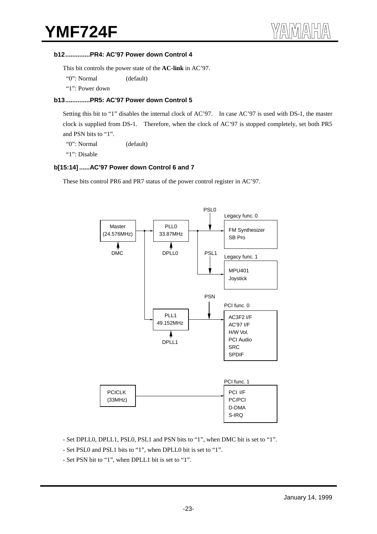#### **b12..............PR4: AC'97 Power down Control 4**

This bit controls the power state of the **AC-link** in AC'97.

"0": Normal (default)

"1": Power down

#### **b13..............PR5: AC'97 Power down Control 5**

Setting this bit to "1" disables the internal clock of AC'97. In case AC'97 is used with DS-1, the master clock is supplied from DS-1. Therefore, when the clock of AC'97 is stopped completely, set both PR5 and PSN bits to "1".

"0": Normal (default)

"1": Disable

#### **b[15:14] ......AC'97 Power down Control 6 and 7**

These bits control PR6 and PR7 status of the power control register in AC'97.



- Set DPLL0, DPLL1, PSL0, PSL1 and PSN bits to "1", when DMC bit is set to "1".
- Set PSL0 and PSL1 bits to "1", when DPLL0 bit is set to "1".
- Set PSN bit to "1", when DPLL1 bit is set to "1".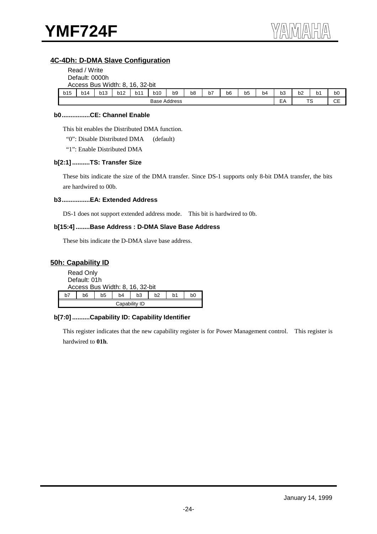#### **4C-4Dh: D-DMA Slave Configuration**

|                     | Read / Write                    |            |            |     |            |    |    |    |    |                |    |                |    |                |                |
|---------------------|---------------------------------|------------|------------|-----|------------|----|----|----|----|----------------|----|----------------|----|----------------|----------------|
|                     | Default: 0000h                  |            |            |     |            |    |    |    |    |                |    |                |    |                |                |
|                     | Access Bus Width: 8, 16, 32-bit |            |            |     |            |    |    |    |    |                |    |                |    |                |                |
| b15                 | b14                             | <b>b13</b> | <b>b12</b> | b11 | <b>b10</b> | b9 | b8 | b7 | b6 | b <sub>5</sub> | b4 | b <sub>3</sub> | b2 | b <sub>1</sub> | b <sub>0</sub> |
| <b>Base Address</b> |                                 |            |            |     |            |    |    |    |    |                |    | EA             | TS |                | СE             |

#### **b0................CE: Channel Enable**

This bit enables the Distributed DMA function.

"0": Disable Distributed DMA (default)

"1": Enable Distributed DMA

#### **b[2:1] ..........TS: Transfer Size**

These bits indicate the size of the DMA transfer. Since DS-1 supports only 8-bit DMA transfer, the bits are hardwired to 00b.

#### **b3................EA: Extended Address**

DS-1 does not support extended address mode. This bit is hardwired to 0b.

#### **b[15:4] ........Base Address : D-DMA Slave Base Address**

These bits indicate the D-DMA slave base address.

#### **50h: Capability ID**

|    | <b>Read Only</b><br>Default: 01h                               |  | Access Bus Width: 8, 16, 32-bit |  |  |  |  |  |
|----|----------------------------------------------------------------|--|---------------------------------|--|--|--|--|--|
| h7 | b <sub>2</sub><br>b5<br>b3<br>b0<br>b6<br>b <sub>4</sub><br>b1 |  |                                 |  |  |  |  |  |
|    | Capability ID                                                  |  |                                 |  |  |  |  |  |

#### **b[7:0] ..........Capability ID: Capability Identifier**

This register indicates that the new capability register is for Power Management control. This register is hardwired to **01h**.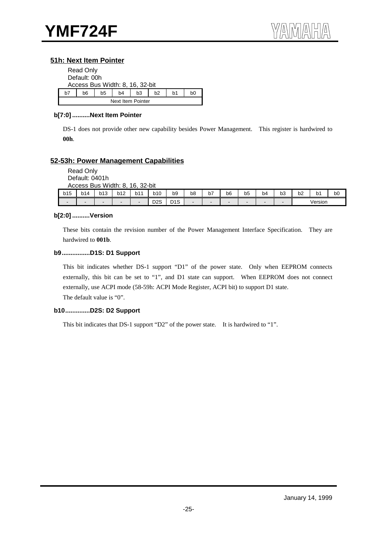#### **51h: Next Item Pointer**

|    | <b>Read Only</b>                                   |  |  |  |  |  |  |  |  |
|----|----------------------------------------------------|--|--|--|--|--|--|--|--|
|    | Default: 00h                                       |  |  |  |  |  |  |  |  |
|    | Access Bus Width: 8, 16, 32-bit                    |  |  |  |  |  |  |  |  |
| h7 | b5<br>b3<br>b <sub>2</sub><br>b4<br>b6<br>b1<br>b0 |  |  |  |  |  |  |  |  |
|    | Next Item Pointer                                  |  |  |  |  |  |  |  |  |

#### **b[7:0] ..........Next Item Pointer**

DS-1 does not provide other new capability besides Power Management. This register is hardwired to **00h**.

#### **52-53h: Power Management Capabilities**

Read Only Default: 0401h Access Bus Width: 8, 16, 32-bit

|     | ACCESS BUS<br>. vviatri: 8,<br>10.<br>32-DII |                          |     |     |                  |                      |    |                            |                          |         |    |    |    |         |    |
|-----|----------------------------------------------|--------------------------|-----|-----|------------------|----------------------|----|----------------------------|--------------------------|---------|----|----|----|---------|----|
| b15 | b14                                          | b13                      | b12 | b11 | <b>b10</b>       | b9                   | b8 | $\sim$ $-$<br>$\mathsf{D}$ | b6                       | -<br>b5 | b4 | bЗ | b2 | O"      | b0 |
| -   |                                              | $\overline{\phantom{a}}$ | -   | -   | D <sub>2</sub> S | <sub>n</sub><br>טו ש |    | -                          | $\overline{\phantom{a}}$ |         |    | -  |    | Version |    |

#### **b[2:0] ..........Version**

These bits contain the revision number of the Power Management Interface Specification. They are hardwired to **001b**.

#### **b9................D1S: D1 Support**

This bit indicates whether DS-1 support "D1" of the power state. Only when EEPROM connects externally, this bit can be set to "1", and D1 state can support. When EEPROM does not connect externally, use ACPI mode (58-59h: ACPI Mode Register, ACPI bit) to support D1 state. The default value is "0".

#### **b10..............D2S: D2 Support**

This bit indicates that DS-1 support "D2" of the power state. It is hardwired to "1".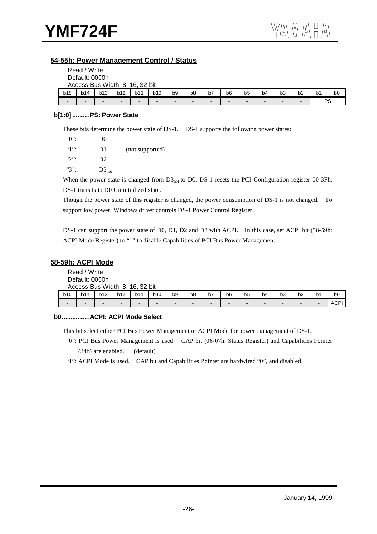#### **54-55h: Power Management Control / Status**

|                          | Read / Write                    |     |                          |     |                          |                |    |    |    |    |                          |                |    |                |                |
|--------------------------|---------------------------------|-----|--------------------------|-----|--------------------------|----------------|----|----|----|----|--------------------------|----------------|----|----------------|----------------|
|                          | Default: 0000h                  |     |                          |     |                          |                |    |    |    |    |                          |                |    |                |                |
|                          | Access Bus Width: 8, 16, 32-bit |     |                          |     |                          |                |    |    |    |    |                          |                |    |                |                |
| b15                      | b14                             | b13 | <b>b12</b>               | b11 | b10                      | b <sub>9</sub> | b8 | b7 | b6 | b5 | b <sub>4</sub>           | b <sub>3</sub> | b2 | b <sub>1</sub> | b <sub>0</sub> |
| $\overline{\phantom{0}}$ | $\sim$                          |     | $\overline{\phantom{0}}$ | -   | $\overline{\phantom{0}}$ | $\sim$         | -  | -  | -  | -  | $\overline{\phantom{0}}$ |                |    |                | PS             |

#### **b[1:0] ..........PS: Power State**

These bits determine the power state of DS-1. DS-1 supports the following power states:

| $"0"$ :       | D <sub>0</sub> |                 |
|---------------|----------------|-----------------|
| $"1"$ :       | D1             | (not supported) |
| $\mathcal{L}$ | D <sub>2</sub> |                 |
| $"3"$ :       | $D3_{hot}$     |                 |

When the power state is changed from  $D3<sub>hot</sub>$  to D0, DS-1 resets the PCI Configuration register 00-3Fh. DS-1 transits to D0 Uninitialized state.

Though the power state of this register is changed, the power consumption of DS-1 is not changed. To support low power, Windows driver controls DS-1 Power Control Register.

DS-1 can support the power state of D0, D1, D2 and D3 with ACPI. In this case, set ACPI bit (58-59h: ACPI Mode Register) to "1" to disable Capabilities of PCI Bus Power Management.

#### **58-59h: ACPI Mode**

Read / Write Default: 0000h Access Bus Width: 8, 16, 32-bit

|     |     | ACCESS DUS <i>WI</i> UUI.O. |                          | TU. JZ-DIL |     |                          |    |    |    |                |                          |                     |    |    |      |
|-----|-----|-----------------------------|--------------------------|------------|-----|--------------------------|----|----|----|----------------|--------------------------|---------------------|----|----|------|
| b15 | b14 | b13                         | b12                      | b11        | b10 | b9                       | b8 | b7 | b6 | b <sub>5</sub> | b4                       | $\sim$ $\sim$<br>рз | b2 | b1 | bO   |
| -   |     | $\sim$                      | $\overline{\phantom{a}}$ |            | -   | $\overline{\phantom{a}}$ |    | -  | ۰. | -              | $\overline{\phantom{0}}$ | -                   |    |    | ACP' |

#### **b0................ACPI: ACPI Mode Select**

This bit select either PCI Bus Power Management or ACPI Mode for power management of DS-1.

 "0": PCI Bus Power Management is used. CAP bit (06-07h: Status Register) and Capabilities Pointer (34h) are enabled. (default)

"1": ACPI Mode is used. CAP bit and Capabilities Pointer are hardwired "0", and disabled.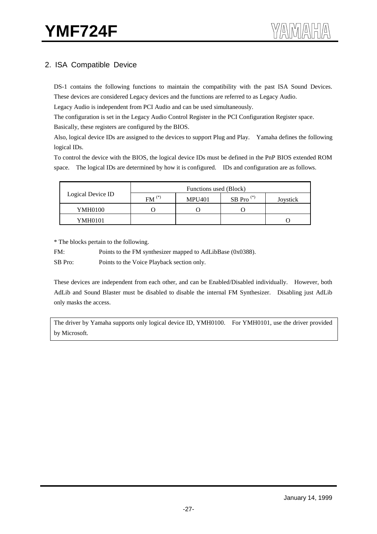## 2. ISA Compatible Device

DS-1 contains the following functions to maintain the compatibility with the past ISA Sound Devices. These devices are considered Legacy devices and the functions are referred to as Legacy Audio.

Legacy Audio is independent from PCI Audio and can be used simultaneously.

The configuration is set in the Legacy Audio Control Register in the PCI Configuration Register space.

Basically, these registers are configured by the BIOS.

Also, logical device IDs are assigned to the devices to support Plug and Play. Yamaha defines the following logical IDs.

To control the device with the BIOS, the logical device IDs must be defined in the PnP BIOS extended ROM space. The logical IDs are determined by how it is configured. IDs and configuration are as follows.

|                   | Functions used (Block) |               |              |          |  |  |  |  |
|-------------------|------------------------|---------------|--------------|----------|--|--|--|--|
| Logical Device ID | $FM^{(*)}$             | <b>MPU401</b> | SB Pro $(*)$ | Joystick |  |  |  |  |
| YMH0100           |                        |               |              |          |  |  |  |  |
| YMH0101           |                        |               |              |          |  |  |  |  |

\* The blocks pertain to the following.

FM: Points to the FM synthesizer mapped to AdLibBase (0x0388).

SB Pro: Points to the Voice Playback section only.

These devices are independent from each other, and can be Enabled/Disabled individually. However, both AdLib and Sound Blaster must be disabled to disable the internal FM Synthesizer. Disabling just AdLib only masks the access.

The driver by Yamaha supports only logical device ID, YMH0100. For YMH0101, use the driver provided by Microsoft.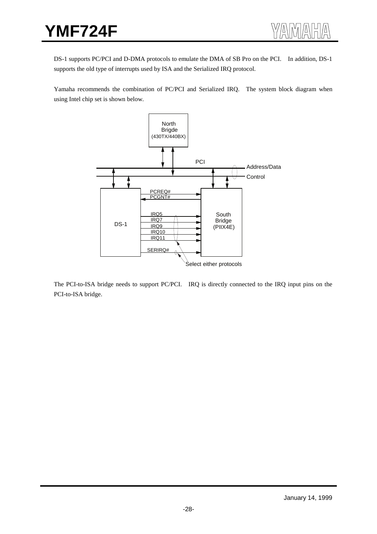DS-1 supports PC/PCI and D-DMA protocols to emulate the DMA of SB Pro on the PCI. In addition, DS-1 supports the old type of interrupts used by ISA and the Serialized IRQ protocol.

Yamaha recommends the combination of PC/PCI and Serialized IRQ. The system block diagram when using Intel chip set is shown below.



The PCI-to-ISA bridge needs to support PC/PCI. IRQ is directly connected to the IRQ input pins on the PCI-to-ISA bridge.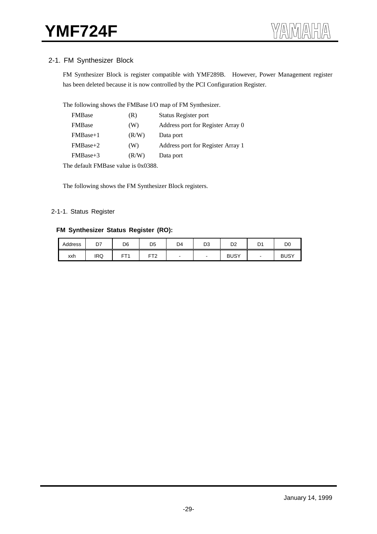#### 2-1. FM Synthesizer Block

FM Synthesizer Block is register compatible with YMF289B. However, Power Management register has been deleted because it is now controlled by the PCI Configuration Register.

The following shows the FMBase I/O map of FM Synthesizer.

| <b>FMBase</b>  | (R)   | Status Register port              |
|----------------|-------|-----------------------------------|
| <b>FMB</b> ase | (W)   | Address port for Register Array 0 |
| $FMBase+1$     | (R/W) | Data port                         |
| $FMBase+2$     | (W)   | Address port for Register Array 1 |
| $FMBase+3$     | (R/W) | Data port                         |

The default FMBase value is 0x0388.

The following shows the FM Synthesizer Block registers.

#### 2-1-1. Status Register

#### **FM Synthesizer Status Register (RO):**

| Address | D7         | D <sub>6</sub> | D <sub>5</sub>  | D4 | D <sub>3</sub> | D <sub>2</sub> | D <sup>1</sup> | D <sub>0</sub> |
|---------|------------|----------------|-----------------|----|----------------|----------------|----------------|----------------|
| xxh     | <b>IRQ</b> | CT.            | FT <sub>2</sub> |    | -              | <b>BUSY</b>    | -              | <b>BUSY</b>    |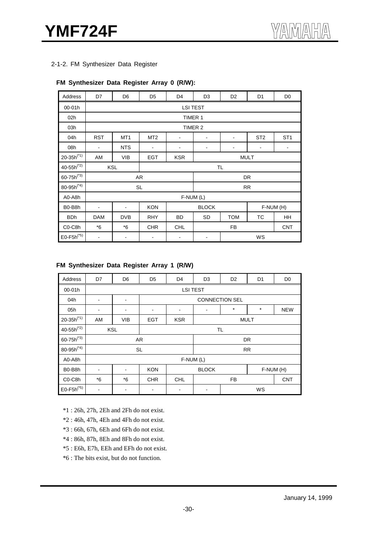2-1-2. FM Synthesizer Data Register

#### **FM Synthesizer Data Register Array 0 (R/W):**

| Address                          | D7                       | D <sub>6</sub>   | D <sub>5</sub>                          | D <sub>4</sub> | D <sub>3</sub>               | D <sub>2</sub> | D <sub>1</sub>  | D <sub>0</sub>           |
|----------------------------------|--------------------------|------------------|-----------------------------------------|----------------|------------------------------|----------------|-----------------|--------------------------|
| 00-01h                           |                          |                  |                                         |                | <b>LSI TEST</b>              |                |                 |                          |
| 02h                              |                          |                  |                                         |                | TIMER 1                      |                |                 |                          |
| 03h                              |                          |                  |                                         |                | TIMER 2                      |                |                 |                          |
| 04h                              | <b>RST</b>               | MT <sub>1</sub>  | MT <sub>2</sub>                         | Ĭ.             |                              | -              | ST <sub>2</sub> | ST <sub>1</sub>          |
| 08h                              | $\blacksquare$           | <b>NTS</b>       | $\blacksquare$                          | -              | $\qquad \qquad \blacksquare$ | -              | $\blacksquare$  | $\overline{\phantom{a}}$ |
| $20 - 35h^{(*1)}$                | AM                       | <b>VIB</b>       | <b>EGT</b><br><b>KSR</b><br><b>MULT</b> |                |                              |                |                 |                          |
| $40 - 55h^{(*)}$                 |                          | <b>KSL</b><br>TL |                                         |                |                              |                |                 |                          |
| $60 - 75h^{(*)}$                 |                          |                  | AR                                      |                |                              |                | DR              |                          |
| 80-95 $h^{(*4)}$                 |                          |                  | <b>SL</b>                               |                |                              |                | <b>RR</b>       |                          |
| A0-A8h                           |                          |                  |                                         |                | F-NUM (L)                    |                |                 |                          |
| B0-B8h                           | -                        | $\blacksquare$   | <b>KON</b>                              |                | <b>BLOCK</b>                 |                |                 | F-NUM (H)                |
| <b>BDh</b>                       | <b>DAM</b>               | <b>DVB</b>       | <b>RHY</b>                              | BD             | <b>SD</b>                    | <b>TOM</b>     | ТC              | HH                       |
| C <sub>0</sub> -C <sub>8</sub> h | $*6$                     | *6               | <b>CHR</b>                              | <b>CHL</b>     |                              | FB             |                 | <b>CNT</b>               |
| $E0-F5h^{(*5)}$                  | $\overline{\phantom{a}}$ | -                | -                                       | WS             |                              |                |                 |                          |

#### **FM Synthesizer Data Register Array 1 (R/W)**

| Address                          | D7                           | D <sub>6</sub>               | D <sub>5</sub> | D <sub>4</sub>  | D <sub>3</sub> | D <sub>2</sub>        | D1        | D <sub>0</sub> |  |  |
|----------------------------------|------------------------------|------------------------------|----------------|-----------------|----------------|-----------------------|-----------|----------------|--|--|
| 00-01h                           |                              |                              |                | <b>LSI TEST</b> |                |                       |           |                |  |  |
| 04h                              | $\qquad \qquad \blacksquare$ | $\blacksquare$               |                |                 |                | <b>CONNECTION SEL</b> |           |                |  |  |
| 05h                              | $\overline{\phantom{a}}$     | $\qquad \qquad \blacksquare$ |                |                 | ۰              | $^\star$              | $\star$   | <b>NEW</b>     |  |  |
| $20 - 35h^{(*1)}$                | AM                           | <b>VIB</b>                   | <b>EGT</b>     | <b>KSR</b>      |                | <b>MULT</b>           |           |                |  |  |
| $40 - 55h^{(*)}$                 |                              | <b>KSL</b>                   |                |                 | TL             |                       |           |                |  |  |
| $60 - 75h^{(*)}$                 |                              |                              | AR             |                 |                |                       | <b>DR</b> |                |  |  |
| $80 - 95h^{(*4)}$                |                              |                              | <b>SL</b>      |                 |                |                       | <b>RR</b> |                |  |  |
| A0-A8h                           |                              |                              |                | $F-NUM(L)$      |                |                       |           |                |  |  |
| B0-B8h                           | $\blacksquare$               | $\blacksquare$               | <b>KON</b>     |                 | <b>BLOCK</b>   |                       | F-NUM (H) |                |  |  |
| C <sub>0</sub> -C <sub>8</sub> h | $*6$                         | $*6$                         | <b>CHR</b>     | <b>CHL</b>      |                | FB                    |           | <b>CNT</b>     |  |  |
| $E0-F5h^{(*5)}$                  | $\overline{\phantom{a}}$     | $\qquad \qquad \blacksquare$ |                | -               | WS<br>-        |                       |           |                |  |  |

\*1 : 26h, 27h, 2Eh and 2Fh do not exist.

\*2 : 46h, 47h, 4Eh and 4Fh do not exist.

\*3 : 66h, 67h, 6Eh and 6Fh do not exist.

\*4 : 86h, 87h, 8Eh and 8Fh do not exist.

\*5 : E6h, E7h, EEh and EFh do not exist.

\*6 : The bits exist, but do not function.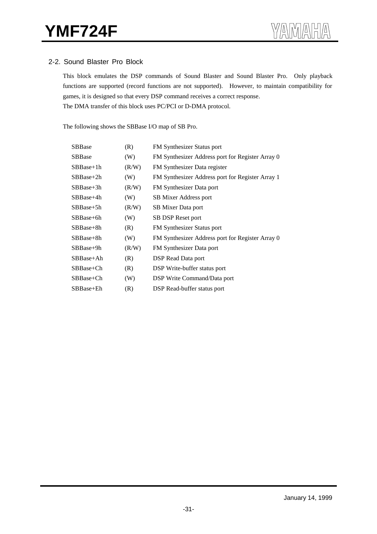#### 2-2. Sound Blaster Pro Block

This block emulates the DSP commands of Sound Blaster and Sound Blaster Pro. Only playback functions are supported (record functions are not supported). However, to maintain compatibility for games, it is designed so that every DSP command receives a correct response. The DMA transfer of this block uses PC/PCI or D-DMA protocol.

The following shows the SBBase I/O map of SB Pro.

| <b>SBBase</b> | (R)   | FM Synthesizer Status port                       |
|---------------|-------|--------------------------------------------------|
| SBBase        | (W)   | FM Synthesizer Address port for Register Array 0 |
| $SBBase+1h$   | (R/W) | FM Synthesizer Data register                     |
| $SBBase+2h$   | (W)   | FM Synthesizer Address port for Register Array 1 |
| $SBBase+3h$   | (R/W) | FM Synthesizer Data port                         |
| $SBBase+4h$   | (W)   | SB Mixer Address port                            |
| $SBBase+5h$   | (R/W) | SB Mixer Data port                               |
| $SBBase+6h$   | (W)   | SB DSP Reset port                                |
| SBBase+8h     | (R)   | <b>FM</b> Synthesizer Status port                |
| $SBBase+8h$   | (W)   | FM Synthesizer Address port for Register Array 0 |
| $SBBase+9h$   | (R/W) | FM Synthesizer Data port                         |
| $SBBase+Ah$   | (R)   | DSP Read Data port                               |
| SBBase+Ch     | (R)   | DSP Write-buffer status port                     |
| SBBase+Ch     | (W)   | DSP Write Command/Data port                      |
| SBBase+Eh     | (R)   | DSP Read-buffer status port                      |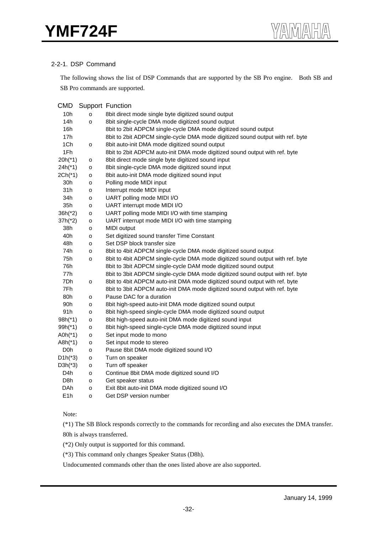#### 2-2-1. DSP Command

The following shows the list of DSP Commands that are supported by the SB Pro engine. Both SB and SB Pro commands are supported.

| <b>CMD</b>       |              | <b>Support Function</b>                                                        |
|------------------|--------------|--------------------------------------------------------------------------------|
| 10h              | о            | 8bit direct mode single byte digitized sound output                            |
| 14h              | o            | 8bit single-cycle DMA mode digitized sound output                              |
| 16h              |              | 8bit to 2bit ADPCM single-cycle DMA mode digitized sound output                |
| 17h              |              | 8bit to 2bit ADPCM single-cycle DMA mode digitized sound output with ref. byte |
| 1Ch              | $\mathsf{o}$ | 8bit auto-init DMA mode digitized sound output                                 |
| 1Fh              |              | 8bit to 2bit ADPCM auto-init DMA mode digitized sound output with ref. byte    |
| $20h(*1)$        | o            | 8bit direct mode single byte digitized sound input                             |
| 24h(*1)          | o            | 8bit single-cycle DMA mode digitized sound input                               |
| $2Ch(*1)$        | o            | 8bit auto-init DMA mode digitized sound input                                  |
| 30h              | o            | Polling mode MIDI input                                                        |
| 31h              | o            | Interrupt mode MIDI input                                                      |
| 34h              | o            | UART polling mode MIDI I/O                                                     |
| 35h              | o            | UART interrupt mode MIDI I/O                                                   |
| $36h(^{*}2)$     | o            | UART polling mode MIDI I/O with time stamping                                  |
| $37h(^{*}2)$     | o            | UART interrupt mode MIDI I/O with time stamping                                |
| 38h              | o            | MIDI output                                                                    |
| 40h              | $\mathsf{o}$ | Set digitized sound transfer Time Constant                                     |
| 48h              | o            | Set DSP block transfer size                                                    |
| 74h              | $\mathsf{o}$ | 8bit to 4bit ADPCM single-cycle DMA mode digitized sound output                |
| 75h              | $\mathsf{o}$ | 8bit to 4bit ADPCM single-cycle DMA mode digitized sound output with ref. byte |
| 76h              |              | 8bit to 3bit ADPCM single-cycle DAM mode digitized sound output                |
| 77h              |              | 8bit to 3bit ADPCM single-cycle DMA mode digitized sound output with ref. byte |
| 7Dh              | $\mathsf{o}$ | 8bit to 4bit ADPCM auto-init DMA mode digitized sound output with ref. byte    |
| 7Fh              |              | 8bit to 3bit ADPCM auto-init DMA mode digitized sound output with ref. byte    |
| 80h              | o            | Pause DAC for a duration                                                       |
| 90h              | o            | 8bit high-speed auto-init DMA mode digitized sound output                      |
| 91h              | o            | 8bit high-speed single-cycle DMA mode digitized sound output                   |
| $98h(*1)$        | o            | 8bit high-speed auto-init DMA mode digitized sound input                       |
| $99h(*1)$        | o            | 8bit high-speed single-cycle DMA mode digitized sound input                    |
| A0h $(*1)$       | o            | Set input mode to mono                                                         |
| $A8h(*1)$        | o            | Set input mode to stereo                                                       |
| D <sub>0</sub> h | o            | Pause 8bit DMA mode digitized sound I/O                                        |
| $D1h(^{*}3)$     | o            | Turn on speaker                                                                |
| $D3h(^*3)$       | o            | Turn off speaker                                                               |
| D4h              | o            | Continue 8bit DMA mode digitized sound I/O                                     |
| D8h              | o            | Get speaker status                                                             |
| DAh              | o            | Exit 8bit auto-init DMA mode digitized sound I/O                               |
| E <sub>1</sub> h | o            | Get DSP version number                                                         |

Note:

(\*1) The SB Block responds correctly to the commands for recording and also executes the DMA transfer. 80h is always transferred.

(\*2) Only output is supported for this command.

(\*3) This command only changes Speaker Status (D8h).

Undocumented commands other than the ones listed above are also supported.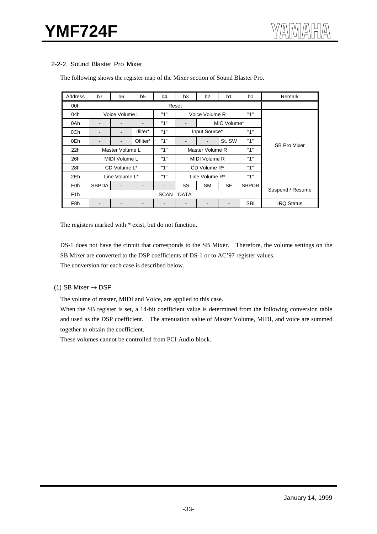#### 2-2-2. Sound Blaster Pro Mixer

| Address          | b7           | b <sub>6</sub>           | b5       | b4          | b <sub>3</sub><br>b <sub>2</sub><br>b <sub>0</sub><br>b <sub>1</sub> |                      | Remark      |              |                     |  |  |
|------------------|--------------|--------------------------|----------|-------------|----------------------------------------------------------------------|----------------------|-------------|--------------|---------------------|--|--|
| 00h              |              |                          |          |             |                                                                      |                      |             |              |                     |  |  |
| 04h              |              | Voice Volume L           |          | "1"         |                                                                      | Voice Volume R       |             | "1"          |                     |  |  |
| 0Ah              | ۰            | L.                       |          | "1"         | $\blacksquare$                                                       |                      | MIC Volume* |              |                     |  |  |
| 0Ch              | ۰            | $\overline{a}$           | lfilter* | "1"         |                                                                      | Input Source*        |             | "1"          |                     |  |  |
| 0Eh              |              | $\overline{\phantom{0}}$ | Ofilter* | "1"         |                                                                      |                      | St. SW      | "1"          | <b>SB Pro Mixer</b> |  |  |
| 22h              |              | Master Volume L          |          | "1"         | Master Volume R                                                      |                      |             | "1"          |                     |  |  |
| 26h              |              | MIDI Volume L            |          | "1"         |                                                                      | "1"<br>MIDI Volume R |             |              |                     |  |  |
| 28h              |              | CD Volume L*             |          | "1"         |                                                                      | CD Volume R*         |             | "1"          |                     |  |  |
| 2Eh              |              | Line Volume L*           |          | "1"         |                                                                      | Line Volume R*       |             | "1"          |                     |  |  |
| F <sub>0</sub> h | <b>SBPDA</b> |                          |          |             | SS                                                                   | <b>SM</b>            | <b>SE</b>   | <b>SBPDR</b> |                     |  |  |
| F <sub>1</sub> h |              |                          |          | <b>SCAN</b> | <b>DATA</b>                                                          |                      |             |              | Suspend / Resume    |  |  |
| F <sub>8</sub> h | -            |                          |          | -           | $\blacksquare$                                                       |                      |             | <b>SBI</b>   | <b>IRQ Status</b>   |  |  |

The following shows the register map of the Mixer section of Sound Blaster Pro.

The registers marked with  $*$  exist, but do not function.

DS-1 does not have the circuit that corresponds to the SB Mixer. Therefore, the volume settings on the SB Mixer are converted to the DSP coefficients of DS-1 or to AC'97 register values.

The conversion for each case is described below.

#### (1) SB Mixer  $\rightarrow$  DSP

The volume of master, MIDI and Voice, are applied to this case.

When the SB register is set, a 14-bit coefficient value is determined from the following conversion table and used as the DSP coefficient. The attenuation value of Master Volume, MIDI, and voice are summed together to obtain the coefficient.

These volumes cannot be controlled from PCI Audio block.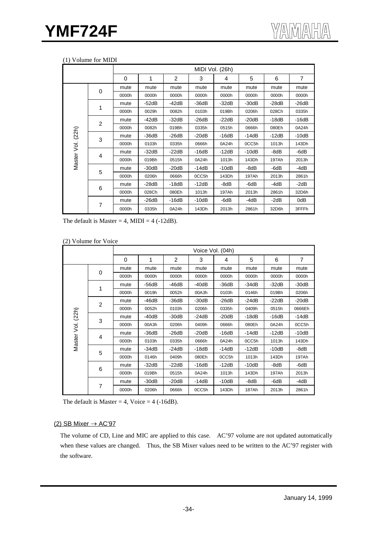|                   |                | MIDI Vol. (26h) |              |         |         |         |         |         |                |  |
|-------------------|----------------|-----------------|--------------|---------|---------|---------|---------|---------|----------------|--|
|                   |                | 0               | $\mathbf{1}$ | 2       | 3       | 4       | 5       | 6       | $\overline{7}$ |  |
|                   | 0              | mute            | mute         | mute    | mute    | mute    | mute    | mute    | mute           |  |
|                   |                | 0000h           | 0000h        | 0000h   | 0000h   | 0000h   | 0000h   | 0000h   | 0000h          |  |
|                   | 1              | mute            | $-52dB$      | $-42dB$ | $-36dB$ | $-32dB$ | $-30dB$ | $-28dB$ | $-26dB$        |  |
|                   |                | 0000h           | 0029h        | 0082h   | 0103h   | 019Bh   | 0206h   | 028Ch   | 0335h          |  |
|                   | $\overline{2}$ | mute            | -42dB        | $-32dB$ | $-26dB$ | $-22dB$ | $-20dB$ | $-18dB$ | $-16dB$        |  |
|                   |                | 0000h           | 0082h        | 019Bh   | 0335h   | 0515h   | 0666h   | 080Eh   | 0A24h          |  |
|                   | 3              | mute            | $-36dB$      | $-26dB$ | $-20dB$ | $-16dB$ | $-14dB$ | $-12dB$ | $-10dB$        |  |
|                   |                | 0000h           | 0103h        | 0335h   | 0666h   | 0A24h   | 0CC5h   | 1013h   | 143Dh          |  |
| Master Vol. (22h) | 4              | mute            | $-32dB$      | $-22dB$ | $-16dB$ | $-12dB$ | $-10dB$ | -8dB    | -6dB           |  |
|                   |                | 0000h           | 019Bh        | 0515h   | 0A24h   | 1013h   | 143Dh   | 197Ah   | 2013h          |  |
|                   |                | mute            | $-30dB$      | $-20dB$ | $-14dB$ | $-10dB$ | -8dB    | -6dB    | -4dB           |  |
|                   | 5              | 0000h           | 0206h        | 0666h   | 0CC5h   | 143Dh   | 197Ah   | 2013h   | 2861h          |  |
|                   |                | mute            | $-28dB$      | $-18dB$ | $-12dB$ | -8dB    | -6dB    | $-4dB$  | $-2dB$         |  |
|                   | 6              | 0000h           | 028Ch        | 080Eh   | 1013h   | 197Ah   | 2013h   | 2861h   | 32D6h          |  |
|                   |                | mute            | $-26dB$      | $-16dB$ | $-10dB$ | -6dB    | -4dB    | $-2dB$  | 0dB            |  |
|                   | $\overline{7}$ | 0000h           | 0335h        | 0A24h   | 143Dh   | 2013h   | 2861h   | 32D6h   | 3FFFh          |  |

The default is Master = 4, MIDI =  $4$  (-12dB).

|  | (2) Volume for Voice |  |  |
|--|----------------------|--|--|
|--|----------------------|--|--|

| $\overline{\phantom{a}}$ |                |                  |         |         |         |         |         |         |         |  |  |
|--------------------------|----------------|------------------|---------|---------|---------|---------|---------|---------|---------|--|--|
|                          |                | Voice Vol. (04h) |         |         |         |         |         |         |         |  |  |
|                          |                | $\Omega$         | 1       | 2       | 3       | 4       | 5       | 6       | 7       |  |  |
|                          |                | mute             | mute    | mute    | mute    | mute    | mute    | mute    | mute    |  |  |
|                          | 0              | 0000h            | 0000h   | 0000h   | 0000h   | 0000h   | 0000h   | 0000h   | 0000h   |  |  |
|                          |                | mute             | -56dB   | $-46dB$ | $-40dB$ | $-36dB$ | $-34dB$ | $-32dB$ | $-30dB$ |  |  |
|                          |                | 0000h            | 0019h   | 0052h   | 00A3h   | 0103h   | 0146h   | 019Bh   | 0206h   |  |  |
| (22h)<br>si<br>S         | $\overline{2}$ | mute             | -46dB   | $-36dB$ | $-30dB$ | $-26dB$ | $-24dB$ | $-22dB$ | $-20dB$ |  |  |
|                          |                | 0000h            | 0052h   | 0103h   | 0206h   | 0335h   | 0409h   | 0515h   | 0666Eh  |  |  |
|                          | 3              | mute             | -40dB   | $-30dB$ | $-24dB$ | $-20dB$ | -18dB   | $-16dB$ | $-14dB$ |  |  |
|                          |                | 0000h            | 00A3h   | 0206h   | 0409h   | 0666h   | 080Eh   | 0A24h   | 0CC5h   |  |  |
|                          | 4              | mute             | -36dB   | -26dB   | $-20dB$ | $-16dB$ | $-14dB$ | $-12dB$ | $-10dB$ |  |  |
| Master                   |                | 0000h            | 0103h   | 0335h   | 0666h   | 0A24h   | 0CC5h   | 1013h   | 143Dh   |  |  |
|                          |                | mute             | -34dB   | $-24dB$ | -18dB   | $-14dB$ | $-12dB$ | $-10dB$ | -8dB    |  |  |
|                          | 5              | 0000h            | 0146h   | 0409h   | 080Eh   | 0CC5h   | 1013h   | 143Dh   | 197Ah   |  |  |
|                          |                | mute             | $-32dB$ | $-22dB$ | $-16dB$ | $-12dB$ | $-10dB$ | -8dB    | -6dB    |  |  |
|                          | 6              | 0000h            | 019Bh   | 0515h   | 0A24h   | 1013h   | 143Dh   | 197Ah   | 2013h   |  |  |
|                          | 7              | mute             | $-30dB$ | $-20dB$ | -14dB   | $-10dB$ | -8dB    | -6dB    | -4dB    |  |  |
|                          |                | 0000h            | 0206h   | 0666h   | 0CC5h   | 143Dh   | 187Ah   | 2013h   | 2861h   |  |  |

The default is Master = 4, Voice =  $4$  (-16dB).

#### (2) SB Mixer  $\rightarrow$  AC'97

The volume of CD, Line and MIC are applied to this case. AC'97 volume are not updated automatically when these values are changed. Thus, the SB Mixer values need to be written to the AC'97 register with the software.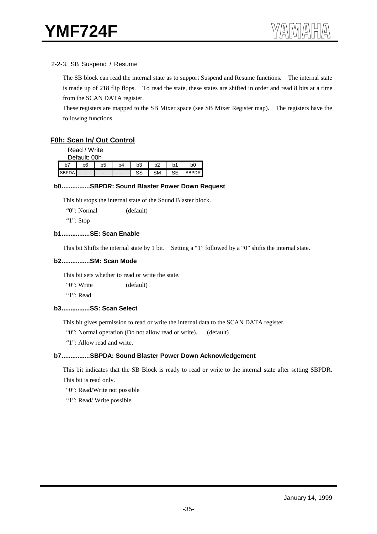#### 2-2-3. SB Suspend / Resume

The SB block can read the internal state as to support Suspend and Resume functions. The internal state is made up of 218 flip flops. To read the state, these states are shifted in order and read 8 bits at a time from the SCAN DATA register.

These registers are mapped to the SB Mixer space (see SB Mixer Register map). The registers have the following functions.

#### **F0h: Scan In/ Out Control**

Read / Write

| Default: 00h |                |                |                |                |           |                |                |  |  |  |
|--------------|----------------|----------------|----------------|----------------|-----------|----------------|----------------|--|--|--|
| bī           | b6             | b <sub>5</sub> | b <sub>4</sub> | b <sub>3</sub> | b2        | b <sub>1</sub> | b <sub>0</sub> |  |  |  |
| `BPDA        | $\blacksquare$ |                | -              | r.<br>55       | <b>SM</b> | $\sim$ $\sim$  |                |  |  |  |

#### **b0................SBPDR: Sound Blaster Power Down Request**

This bit stops the internal state of the Sound Blaster block.

"0": Normal (default)

"1": Stop

#### **b1................SE: Scan Enable**

This bit Shifts the internal state by 1 bit. Setting a "1" followed by a "0" shifts the internal state.

#### **b2................SM: Scan Mode**

This bit sets whether to read or write the state.

"0": Write (default)

"1": Read

#### **b3................SS: Scan Select**

This bit gives permission to read or write the internal data to the SCAN DATA register.

"0": Normal operation (Do not allow read or write). (default)

"1": Allow read and write.

#### **b7................SBPDA: Sound Blaster Power Down Acknowledgement**

This bit indicates that the SB Block is ready to read or write to the internal state after setting SBPDR. This bit is read only.

"0": Read/Write not possible

"1": Read/ Write possible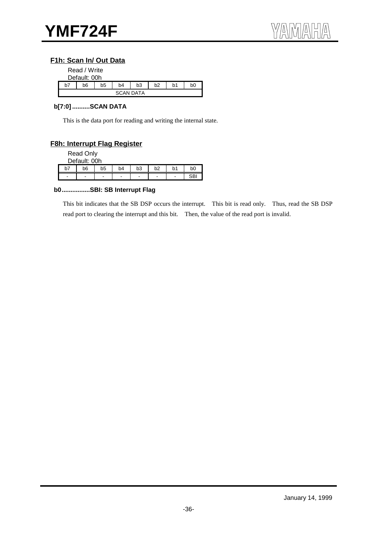## **F1h: Scan In/ Out Data**

|    | Read / Write<br>Default: 00h                                   |  |                  |  |  |  |  |  |  |  |
|----|----------------------------------------------------------------|--|------------------|--|--|--|--|--|--|--|
| b7 | b <sub>3</sub><br>b2<br>b <sub>5</sub><br>b6<br>b4<br>b1<br>b0 |  |                  |  |  |  |  |  |  |  |
|    |                                                                |  | <b>SCAN DATA</b> |  |  |  |  |  |  |  |

#### **b[7:0] ..........SCAN DATA**

This is the data port for reading and writing the internal state.

## **F8h: Interrupt Flag Register**

Read Only

|   | Default: 00h                 |                |                |                              |                          |    |    |  |  |  |  |
|---|------------------------------|----------------|----------------|------------------------------|--------------------------|----|----|--|--|--|--|
|   | b6                           | b <sub>5</sub> | b <sub>4</sub> | b <sub>3</sub>               | h2                       | b1 | bC |  |  |  |  |
| - | $\qquad \qquad \blacksquare$ | -              | -              | $\qquad \qquad \blacksquare$ | $\overline{\phantom{0}}$ | -  | cD |  |  |  |  |

#### **b0................SBI: SB Interrupt Flag**

This bit indicates that the SB DSP occurs the interrupt. This bit is read only. Thus, read the SB DSP read port to clearing the interrupt and this bit. Then, the value of the read port is invalid.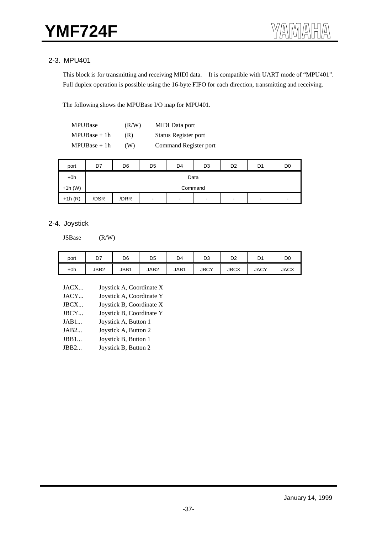## 2-3. MPU401

This block is for transmitting and receiving MIDI data. It is compatible with UART mode of "MPU401". Full duplex operation is possible using the 16-byte FIFO for each direction, transmitting and receiving.

The following shows the MPUBase I/O map for MPU401.

| <b>MPUBase</b> | (R/W) | <b>MIDI</b> Data port |
|----------------|-------|-----------------------|
| $MPUBase + 1h$ | (R)   | Status Register port  |
| $MPUBase + 1h$ | (W)   | Command Register port |

| port      | D7   | D <sub>6</sub>                                                                                                               | D <sub>5</sub> | D <sub>4</sub> | D <sub>3</sub> | D <sub>2</sub> | D <sub>1</sub> | D <sub>0</sub> |  |  |  |  |
|-----------|------|------------------------------------------------------------------------------------------------------------------------------|----------------|----------------|----------------|----------------|----------------|----------------|--|--|--|--|
| $+0h$     |      | Data                                                                                                                         |                |                |                |                |                |                |  |  |  |  |
| $+1h$ (W) |      | Command                                                                                                                      |                |                |                |                |                |                |  |  |  |  |
| $+1h(R)$  | /DSR | /DRR<br>$\sim$<br>$\blacksquare$<br>$\overline{\phantom{a}}$<br>$\blacksquare$<br>$\overline{\phantom{0}}$<br>$\blacksquare$ |                |                |                |                |                |                |  |  |  |  |

## 2-4. Joystick

JSBase (R/W)

| port  | D7   | D6   | D <sub>5</sub> | D4   | D3          | D2          | D1          | D <sub>0</sub> |
|-------|------|------|----------------|------|-------------|-------------|-------------|----------------|
| $+0h$ | JBB2 | JBB1 | JAB2           | JAB1 | <b>JBCY</b> | <b>JBCX</b> | <b>JACY</b> | <b>JACX</b>    |

| JACX | Joystick A, Coordinate X |
|------|--------------------------|
| JACY | Joystick A, Coordinate Y |
| JBCX | Joystick B, Coordinate X |
| JBCY | Joystick B, Coordinate Y |
| JAB1 | Joystick A, Button 1     |
| JAB2 | Joystick A, Button 2     |
| JBB1 | Joystick B, Button 1     |
| JBB2 | Joystick B, Button 2     |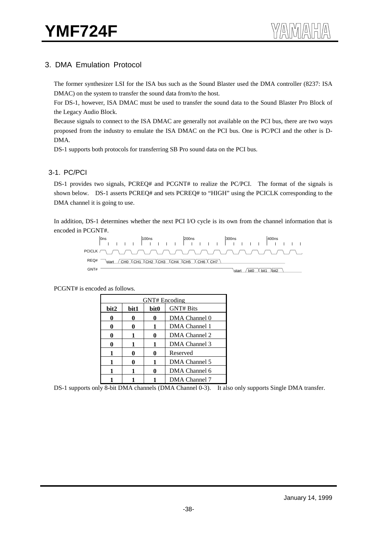## 3. DMA Emulation Protocol

The former synthesizer LSI for the ISA bus such as the Sound Blaster used the DMA controller (8237: ISA DMAC) on the system to transfer the sound data from/to the host.

For DS-1, however, ISA DMAC must be used to transfer the sound data to the Sound Blaster Pro Block of the Legacy Audio Block.

Because signals to connect to the ISA DMAC are generally not available on the PCI bus, there are two ways proposed from the industry to emulate the ISA DMAC on the PCI bus. One is PC/PCI and the other is D-DMA.

DS-1 supports both protocols for transferring SB Pro sound data on the PCI bus.

#### 3-1. PC/PCI

DS-1 provides two signals, PCREQ# and PCGNT# to realize the PC/PCI. The format of the signals is shown below. DS-1 asserts PCREQ# and sets PCREQ# to "HIGH" using the PCICLK corresponding to the DMA channel it is going to use.

In addition, DS-1 determines whether the next PCI I/O cycle is its own from the channel information that is encoded in PCGNT#.



PCGNT# is encoded as follows.

| <b>GNT#</b> Encoding |      |      |                  |  |  |
|----------------------|------|------|------------------|--|--|
| bit2                 | bit1 | bit0 | <b>GNT# Bits</b> |  |  |
|                      |      | 0    | DMA Channel 0    |  |  |
|                      |      | 1    | DMA Channel 1    |  |  |
|                      |      | 0    | DMA Channel 2    |  |  |
|                      |      |      | DMA Channel 3    |  |  |
|                      |      | 0    | Reserved         |  |  |
|                      |      | 1    | DMA Channel 5    |  |  |
|                      |      |      | DMA Channel 6    |  |  |
|                      |      |      | DMA Channel 7    |  |  |

DS-1 supports only 8-bit DMA channels (DMA Channel 0-3). It also only supports Single DMA transfer.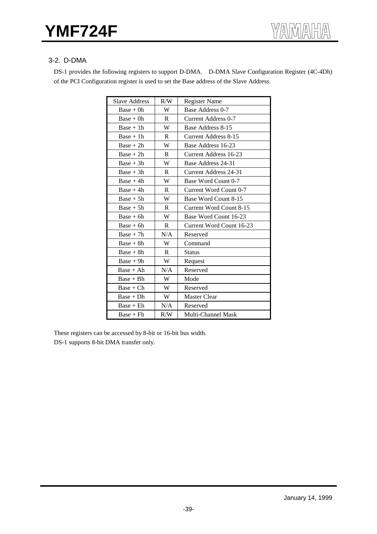## 3-2. D-DMA

DS-1 provides the following registers to support D-DMA. D-DMA Slave Configuration Register (4C-4Dh) of the PCI Configuration register is used to set the Base address of the Slave Address.

| <b>Slave Address</b> | R/W          | <b>Register Name</b>         |
|----------------------|--------------|------------------------------|
| $Base + 0h$          | W            | Base Address 0-7             |
| $Base + 0h$          | R            | <b>Current Address 0-7</b>   |
| $Base + 1h$          | W            | Base Address 8-15            |
| $Base + 1h$          | R            | <b>Current Address 8-15</b>  |
| $Base + 2h$          | W            | Base Address 16-23           |
| $Base + 2h$          | R            | <b>Current Address 16-23</b> |
| $Base + 3h$          | W            | Base Address 24-31           |
| $Base + 3h$          | R            | <b>Current Address 24-31</b> |
| $Base + 4h$          | W            | Base Word Count 0-7          |
| $Base + 4h$          | R            | Current Word Count 0-7       |
| $Base + 5h$          | W            | Base Word Count 8-15         |
| $Base + 5h$          | $\mathsf{R}$ | Current Word Count 8-15      |
| $Base + 6h$          | W            | Base Word Count 16-23        |
| $Base + 6h$          | R            | Current Word Count 16-23     |
| $Base + 7h$          | N/A          | Reserved                     |
| $Base + 8h$          | W            | Command                      |
| $Base + 8h$          | $\mathbf{R}$ | <b>Status</b>                |
| $Base + 9h$          | W            | Request                      |
| $Base + Ah$          | N/A          | Reserved                     |
| $Base + Bh$          | W            | Mode                         |
| $Base + Ch$          | W            | Reserved                     |
| $Base + Dh$          | W            | <b>Master Clear</b>          |
| $Base + Eh$          | N/A          | Reserved                     |
| $Base + Fh$          | R/W          | <b>Multi-Channel Mask</b>    |

These registers can be accessed by 8-bit or 16-bit bus width. DS-1 supports 8-bit DMA transfer only.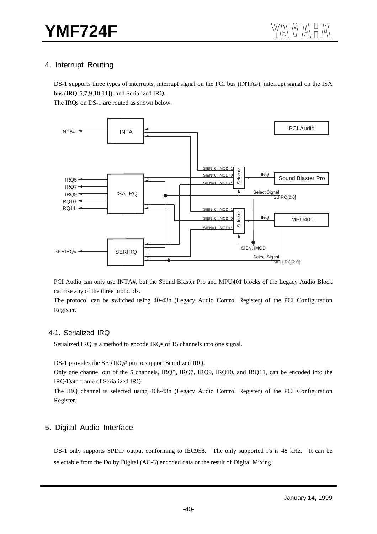## 4. Interrupt Routing

DS-1 supports three types of interrupts, interrupt signal on the PCI bus (INTA#), interrupt signal on the ISA bus (IRQ[5,7,9,10,11]), and Serialized IRQ.

The IRQs on DS-1 are routed as shown below.



PCI Audio can only use INTA#, but the Sound Blaster Pro and MPU401 blocks of the Legacy Audio Block can use any of the three protocols.

The protocol can be switched using 40-43h (Legacy Audio Control Register) of the PCI Configuration Register.

#### 4-1. Serialized IRQ

Serialized IRQ is a method to encode IRQs of 15 channels into one signal.

DS-1 provides the SERIRQ# pin to support Serialized IRQ.

Only one channel out of the 5 channels, IRQ5, IRQ7, IRQ9, IRQ10, and IRQ11, can be encoded into the IRQ/Data frame of Serialized IRQ.

The IRQ channel is selected using 40h-43h (Legacy Audio Control Register) of the PCI Configuration Register.

#### 5. Digital Audio Interface

DS-1 only supports SPDIF output conforming to IEC958. The only supported Fs is 48 kHz. It can be selectable from the Dolby Digital (AC-3) encoded data or the result of Digital Mixing.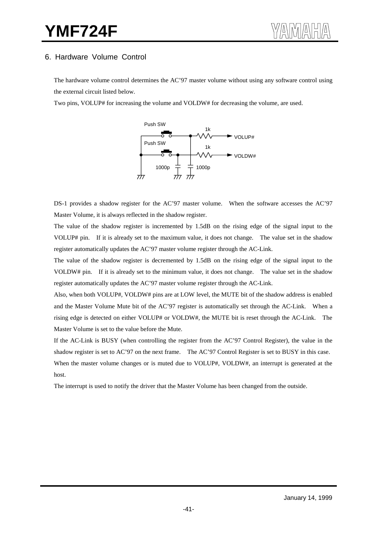## 6. Hardware Volume Control

The hardware volume control determines the AC'97 master volume without using any software control using the external circuit listed below.

Two pins, VOLUP# for increasing the volume and VOLDW# for decreasing the volume, are used.



DS-1 provides a shadow register for the AC'97 master volume. When the software accesses the AC'97 Master Volume, it is always reflected in the shadow register.

The value of the shadow register is incremented by 1.5dB on the rising edge of the signal input to the VOLUP# pin. If it is already set to the maximum value, it does not change. The value set in the shadow register automatically updates the AC'97 master volume register through the AC-Link.

The value of the shadow register is decremented by 1.5dB on the rising edge of the signal input to the VOLDW# pin. If it is already set to the minimum value, it does not change. The value set in the shadow register automatically updates the AC'97 master volume register through the AC-Link.

Also, when both VOLUP#, VOLDW# pins are at LOW level, the MUTE bit of the shadow address is enabled and the Master Volume Mute bit of the AC'97 register is automatically set through the AC-Link. When a rising edge is detected on either VOLUP# or VOLDW#, the MUTE bit is reset through the AC-Link. The Master Volume is set to the value before the Mute.

If the AC-Link is BUSY (when controlling the register from the AC'97 Control Register), the value in the shadow register is set to AC'97 on the next frame. The AC'97 Control Register is set to BUSY in this case. When the master volume changes or is muted due to VOLUP#, VOLDW#, an interrupt is generated at the host.

The interrupt is used to notify the driver that the Master Volume has been changed from the outside.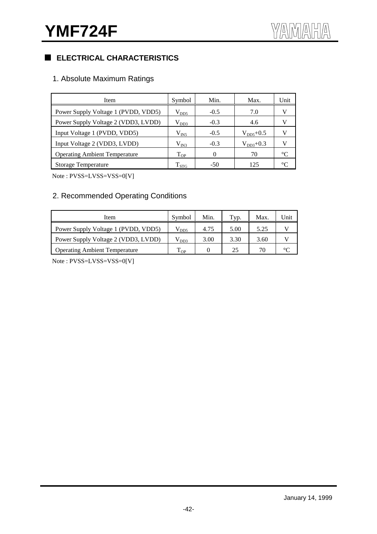## **ELECTRICAL CHARACTERISTICS**

## 1. Absolute Maximum Ratings

| Item                                 | Symbol             | Min.   | Max.          | Unit            |
|--------------------------------------|--------------------|--------|---------------|-----------------|
| Power Supply Voltage 1 (PVDD, VDD5)  | $\rm V_{DD5}$      | $-0.5$ | 7.0           | V               |
| Power Supply Voltage 2 (VDD3, LVDD)  | $\rm V_{DD3}$      | $-0.3$ | 4.6           |                 |
| Input Voltage 1 (PVDD, VDD5)         | $\rm V_{IN5}$      | $-0.5$ | $V_{DD5}+0.5$ |                 |
| Input Voltage 2 (VDD3, LVDD)         | $\rm V_{IN3}$      | $-0.3$ | $V_{DD3}+0.3$ |                 |
| <b>Operating Ambient Temperature</b> | $T_{OP}$           | 0      | 70            | $\rm ^{\circ}C$ |
| <b>Storage Temperature</b>           | $\mathrm{T_{STG}}$ | $-50$  | 125           | $^{\circ}C$     |

Note : PVSS=LVSS=VSS=0[V]

## 2. Recommended Operating Conditions

| Item                                 | Symbol        | Min. | Typ. | Max. | Unit |
|--------------------------------------|---------------|------|------|------|------|
| Power Supply Voltage 1 (PVDD, VDD5)  | $\rm V_{DD5}$ | 4.75 | 5.00 | 5.25 |      |
| Power Supply Voltage 2 (VDD3, LVDD)  | $V_{DD3}$     | 3.00 | 3.30 | 3.60 |      |
| <b>Operating Ambient Temperature</b> | m<br>I OP     |      | 25   | 70   |      |

Note : PVSS=LVSS=VSS=0[V]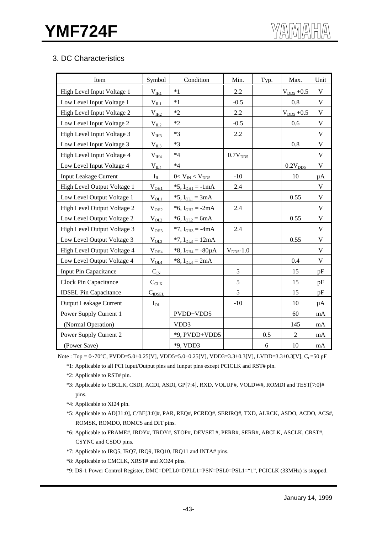## 3. DC Characteristics

| Item                          | Symbol                                | Condition                 | Min.                | Typ. | Max.            | Unit         |
|-------------------------------|---------------------------------------|---------------------------|---------------------|------|-----------------|--------------|
| High Level Input Voltage 1    | $V_{HH}$                              | $*1$                      | 2.2                 |      | $V_{DD5} + 0.5$ | $\mathbf V$  |
| Low Level Input Voltage 1     | $V_{IL1}$                             | $*1$                      | $-0.5$              |      | 0.8             | $\mathbf V$  |
| High Level Input Voltage 2    | $V_{III2}$                            | $*2$                      | 2.2                 |      | $V_{DD5} + 0.5$ | $\mathbf V$  |
| Low Level Input Voltage 2     | $V_{IL2}$                             | $*2$                      | $-0.5$              |      | 0.6             | $\mathbf V$  |
| High Level Input Voltage 3    | $V_{IH3}$                             | $*3$                      | 2.2                 |      |                 | $\mathbf{V}$ |
| Low Level Input Voltage 3     | $V_{II,3}$                            | $*3$                      |                     |      | 0.8             | $\mathbf V$  |
| High Level Input Voltage 4    | $\rm V_{\rm I\!H\!A}$                 | $*4$                      | 0.7V <sub>DD5</sub> |      |                 | $\mathbf V$  |
| Low Level Input Voltage 4     | $\rm V_{\underline{II}\underline{A}}$ | $*4$                      |                     |      | $0.2V_{DD5}$    | V            |
| <b>Input Leakage Current</b>  | $I_{IL}$                              | $0 < V_{IN} < V_{DD5}$    | $-10$               |      | 10              | $\mu A$      |
| High Level Output Voltage 1   | $V_{OH1}$                             | *5, $I_{OH1} = -1mA$      | 2.4                 |      |                 | $\mathbf V$  |
| Low Level Output Voltage 1    | $V_{OL1}$                             | *5, $I_{OL1} = 3mA$       |                     |      | 0.55            | $\mathbf V$  |
| High Level Output Voltage 2   | $V_{OH2}$                             | * $6, I_{OH2} = -2mA$     | 2.4                 |      |                 | $\mathbf V$  |
| Low Level Output Voltage 2    | $V_{OL2}$                             | *6, $I_{OL2} = 6mA$       |                     |      | 0.55            | $\mathbf V$  |
| High Level Output Voltage 3   | V <sub>OH3</sub>                      | $*7$ , $I_{OH3} = -4mA$   | 2.4                 |      |                 | $\mathbf V$  |
| Low Level Output Voltage 3    | $V_{OL3}$                             | $*7$ , $I_{OL3} = 12mA$   |                     |      | 0.55            | $\mathbf V$  |
| High Level Output Voltage 4   | $V_{OH4}$                             | *8, $I_{OH4} = -80 \mu A$ | $VDD5$ -1.0         |      |                 | $\mathbf V$  |
| Low Level Output Voltage 4    | $V_{OLA$                              | *8, $I_{OL4} = 2mA$       |                     |      | 0.4             | $\mathbf V$  |
| Input Pin Capacitance         | $C_{I\underline{N}}$                  |                           | 5                   |      | 15              | pF           |
| Clock Pin Capacitance         | $C_{CLK}$                             |                           | 5                   |      | 15              | pF           |
| <b>IDSEL Pin Capacitance</b>  | $C_{\text{IDSEL}}$                    |                           | 5                   |      | 15              | pF           |
| <b>Output Leakage Current</b> | $I_{OL}$                              |                           | $-10$               |      | 10              | μA           |
| Power Supply Current 1        |                                       | PVDD+VDD5                 |                     |      | 60              | mA           |
| (Normal Operation)            |                                       | VDD3                      |                     |      | 145             | $\rm mA$     |
| Power Supply Current 2        |                                       | *9, PVDD+VDD5             |                     | 0.5  | $\overline{2}$  | mA           |
| (Power Save)                  |                                       | *9, VDD3                  |                     | 6    | 10              | mA           |

Note : Top = 0~70°C, PVDD=5.0±0.25[V], VDD5=5.0±0.25[V], VDD3=3.3±0.3[V], LVDD=3.3±0.3[V], C<sub>L</sub>=50 pF

\*1: Applicable to all PCI Iuput/Output pins and Iunput pins except PCICLK and RST# pin.

\*2: Applicable to RST# pin.

- \*3: Applicable to CBCLK, CSDI, ACDI, ASDI, GP[7:4], RXD, VOLUP#, VOLDW#, ROMDI and TEST[7:0]# pins.
- \*4: Applicable to XI24 pin.
- \*5: Applicable to AD[31:0], C/BE[3:0]#, PAR, REQ#, PCREQ#, SERIRQ#, TXD, ALRCK, ASDO, ACDO, ACS#, ROMSK, ROMDO, ROMCS and DIT pins.
- \*6: Applicable to FRAME#, IRDY#, TRDY#, STOP#, DEVSEL#, PERR#, SERR#, ABCLK, ASCLK, CRST#, CSYNC and CSDO pins.
- \*7: Applicable to IRQ5, IRQ7, IRQ9, IRQ10, IRQ11 and INTA# pins.
- \*8: Applicable to CMCLK, XRST# and XO24 pins.
- \*9: DS-1 Power Control Register, DMC=DPLL0=DPLL1=PSN=PSL0=PSL1="1", PCICLK (33MHz) is stopped.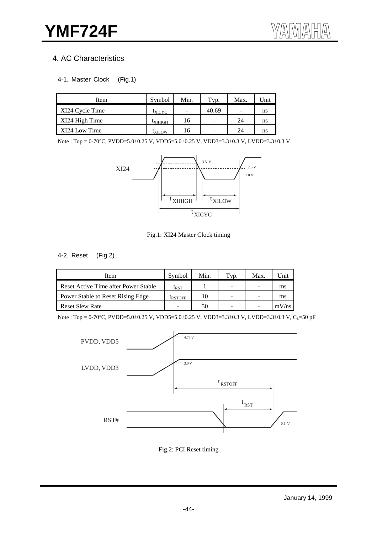## 4. AC Characteristics

#### 4-1. Master Clock (Fig.1)

| Item            | Symbol              | Min. | Typ.                     | Max.                     | Unit |
|-----------------|---------------------|------|--------------------------|--------------------------|------|
| XI24 Cycle Time | <sup>L</sup> XICYC  | ۰    | 40.69                    | $\overline{\phantom{0}}$ | ns   |
| XI24 High Time  | <sup>L</sup> XIHIGH | 16   | $\overline{\phantom{0}}$ | 24                       | ns   |
| XI24 Low Time   | <b>LXILOW</b>       | 16   | $\overline{\phantom{0}}$ | 24                       | ns   |

Note : Top = 0-70°C, PVDD=5.0±0.25 V, VDD5=5.0±0.25 V, VDD3=3.3±0.3 V, LVDD=3.3±0.3 V



Fig.1: XI24 Master Clock timing

#### 4-2. Reset (Fig.2)

| Item                                 | Symbol                      | Min. | $T_{VD}$ .               | Max | 'Jnit |
|--------------------------------------|-----------------------------|------|--------------------------|-----|-------|
| Reset Active Time after Power Stable | $\mathfrak{t}_{\text{RST}}$ |      | $\overline{\phantom{a}}$ | -   | ms    |
| Power Stable to Reset Rising Edge    | <b>LRSTOFF</b>              | 10   | -                        | -   | ms    |
| <b>Reset Slew Rate</b>               |                             | 50   | -                        | -   | mV/ns |

Note : Top = 0-70°C, PVDD=5.0±0.25 V, VDD5=5.0±0.25 V, VDD3=3.3±0.3 V, LVDD=3.3±0.3 V, C<sub>L</sub>=50 pF



Fig.2: PCI Reset timing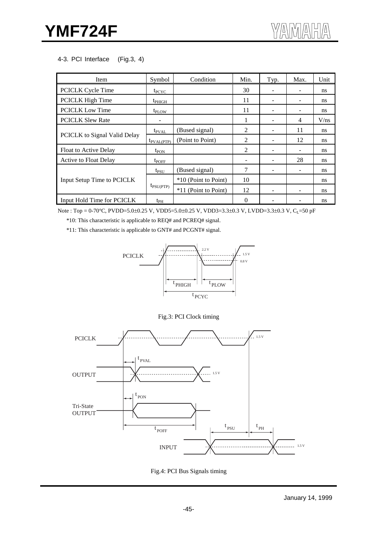#### 4-3. PCI Interface (Fig.3, 4)

| Item                         | Symbol                    | Condition            | Min.           | Typ. | Max. | Unit          |
|------------------------------|---------------------------|----------------------|----------------|------|------|---------------|
| <b>PCICLK Cycle Time</b>     | $t_{PCYC}$                |                      | 30             |      |      | ns.           |
| PCICLK High Time             | $t_{PHIGH}$               |                      | 11             |      | ۰    | <sub>ns</sub> |
| <b>PCICLK Low Time</b>       | $t_{\text{PI} \text{OW}}$ |                      | 11             |      |      | ns            |
| <b>PCICLK Slew Rate</b>      |                           |                      |                |      | 4    | V/ns          |
|                              | $t_{\rm PVAL}$            | (Bused signal)       | 2              |      | 11   | <sub>ns</sub> |
| PCICLK to Signal Valid Delay | $t_{\text{PVAL(PTP)}}$    | (Point to Point)     | 2              |      | 12   | <sub>ns</sub> |
| <b>Float to Active Delay</b> | $t_{PON}$                 |                      | $\mathfrak{D}$ |      | ۰    | <sub>ns</sub> |
| <b>Active to Float Delay</b> | $t_{\text{POFF}}$         |                      |                |      | 28   | ns            |
|                              | $t_{PSU}$                 | (Bused signal)       | 7              |      |      | <sub>ns</sub> |
| Input Setup Time to PCICLK   |                           | *10 (Point to Point) | 10             |      |      | <b>ns</b>     |
|                              | $t_{\text{PSU(PTP)}}$     | *11 (Point to Point) | 12             |      |      | <sub>ns</sub> |
| Input Hold Time for PCICLK   | $t_{PH}$                  |                      | $\Omega$       |      |      | ns            |

Note : Top = 0-70°C, PVDD=5.0±0.25 V, VDD5=5.0±0.25 V, VDD3=3.3±0.3 V, LVDD=3.3±0.3 V, CL=50 pF

\*10: This characteristic is applicable to REQ# and PCREQ# signal.

\*11: This characteristic is applicable to GNT# and PCGNT# signal.







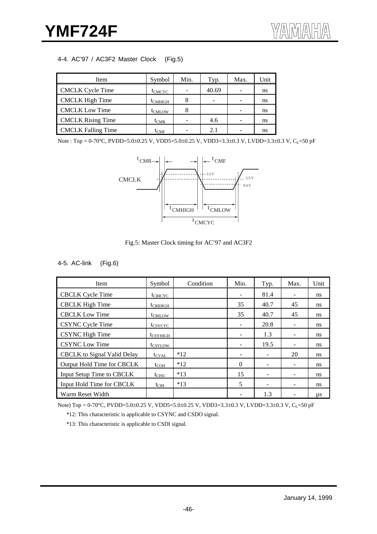## 4-4. AC'97 / AC3F2 Master Clock (Fig.5)

| Item                      | Symbol              | Min. | Typ.  | Max. | Unit |
|---------------------------|---------------------|------|-------|------|------|
| <b>CMCLK</b> Cycle Time   | t <sub>CMCYC</sub>  | ۰    | 40.69 |      | ns   |
| <b>CMCLK</b> High Time    | t <sub>CMHIGH</sub> | 8    |       |      | ns   |
| <b>CMCLK Low Time</b>     | t <sub>CMLOW</sub>  | 8    |       |      | ns   |
| <b>CMCLK</b> Rising Time  | $t_{CMR}$           | -    | 4.6   |      | ns   |
| <b>CMCLK Falling Time</b> | $t_{CMF}$           |      | 2.1   |      | ns   |

Note : Top = 0-70°C, PVDD=5.0±0.25 V, VDD5=5.0±0.25 V, VDD3=3.3±0.3 V, LVDD=3.3±0.3 V, CL=50 pF



Fig.5: Master Clock timing for AC'97 and AC3F2

## 4-5. AC-link (Fig.6)

| Item                        | Symbol               | Condition | Min.                     | Typ. | Max. | Unit          |
|-----------------------------|----------------------|-----------|--------------------------|------|------|---------------|
| <b>CBCLK</b> Cycle Time     | $t_{CBICYC}$         |           | $\overline{\phantom{a}}$ | 81.4 |      | <sub>ns</sub> |
| <b>CBCLK</b> High Time      | $t_{\text{CBIHIGH}}$ |           | 35                       | 40.7 | 45   | ns            |
| <b>CBCLK</b> Low Time       | $t_{\text{CBLOW}}$   |           | 35                       | 40.7 | 45   | <sub>ns</sub> |
| CSYNC Cycle Time            | t <sub>CSYCYC</sub>  |           | $\overline{\phantom{a}}$ | 20.8 |      | <sub>ns</sub> |
| <b>CSYNC</b> High Time      | $t_{CSYHIGH}$        |           | $\overline{\phantom{a}}$ | 1.3  |      | <sub>ns</sub> |
| <b>CSYNC</b> Low Time       | t <sub>CSYLOW</sub>  |           | $\overline{\phantom{m}}$ | 19.5 |      | <sub>ns</sub> |
| CBCLK to Signal Valid Delay | $t_{\text{CVAL}}$    | $*12$     | -                        |      | 20   | <sub>ns</sub> |
| Output Hold Time for CBCLK  | $t_{COH}$            | $*12$     | $\Omega$                 |      |      | <sub>ns</sub> |
| Input Setup Time to CBCLK   | $t_{CISU}$           | $*13$     | 15                       |      |      | <sub>ns</sub> |
| Input Hold Time for CBCLK   | $t_{\text{CIH}}$     | $*13$     | 5                        |      |      | <sub>ns</sub> |
| Warm Reset Width            |                      |           |                          | 1.3  |      | μs            |

Note) Top = 0-70°C, PVDD=5.0±0.25 V, VDD5=5.0±0.25 V, VDD3=3.3±0.3 V, LVDD=3.3±0.3 V, C<sub>L</sub>=50 pF

\*12: This characteristic is applicable to CSYNC and CSDO signal.

\*13: This characteristic is applicable to CSDI signal.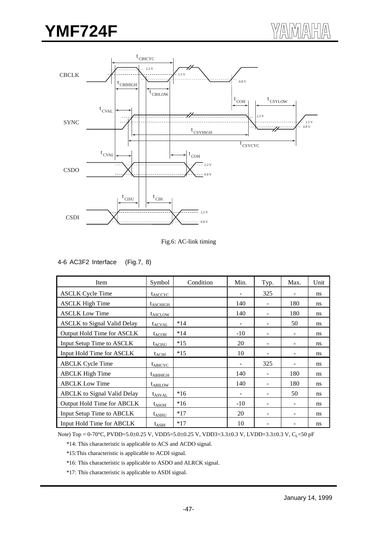## **YMF724F**



Fig.6: AC-link timing

#### 4-6 AC3F2 Interface (Fig.7, 8)

| Item                               | Symbol              | Condition | Min.              | Typ. | Max. | Unit |
|------------------------------------|---------------------|-----------|-------------------|------|------|------|
| <b>ASCLK Cycle Time</b>            | t <sub>ASCCYC</sub> |           | $\qquad \qquad -$ | 325  |      | ns   |
| <b>ASCLK High Time</b>             | $t_{ASCHIGH}$       |           | 140               |      | 180  | ns   |
| <b>ASCLK Low Time</b>              | t <sub>ASCLOW</sub> |           | 140               |      | 180  | ns   |
| <b>ASCLK</b> to Signal Valid Delay | $t_{\text{ACVAL}}$  | $*14$     | -                 |      | 50   | ns   |
| Output Hold Time for ASCLK         | $t_{ACOH}$          | $*14$     | $-10$             |      |      | ns   |
| Input Setup Time to ASCLK          | $t_{\text{ACISU}}$  | $*15$     | 20                |      |      | ns   |
| Input Hold Time for ASCLK          | $t_{ACIH}$          | $*15$     | 10                |      |      | ns   |
| <b>ABCLK</b> Cycle Time            | $t_{ABICYC}$        |           |                   | 325  |      | ns   |
| <b>ABCLK</b> High Time             | $t_{ABIHIGH}$       |           | 140               |      | 180  | ns   |
| <b>ABCLK Low Time</b>              | $t_{ABILOW}$        |           | 140               |      | 180  | ns   |
| <b>ABCLK</b> to Signal Valid Delay | $t_{ASVAL}$         | $*16$     | ٠                 |      | 50   | ns   |
| Output Hold Time for ABCLK         | $t_{ASOH}$          | $*16$     | $-10$             |      |      | ns   |
| Input Setup Time to ABCLK          | $t_{\text{ASISU}}$  | $*17$     | 20                |      |      | ns   |
| Input Hold Time for ABCLK          | $t_{ASIH}$          | $*17$     | 10                |      |      | ns   |

Note) Top = 0-70°C, PVDD=5.0±0.25 V, VDD5=5.0±0.25 V, VDD3=3.3±0.3 V, LVDD=3.3±0.3 V, C<sub>L</sub>=50 pF

\*14: This characteristic is applicable to ACS and ACDO signal.

\*15:This characteristic is applicable to ACDI signal.

\*16: This characteristic is applicable to ASDO and ALRCK signal.

\*17: This characteristic is applicable to ASDI signal.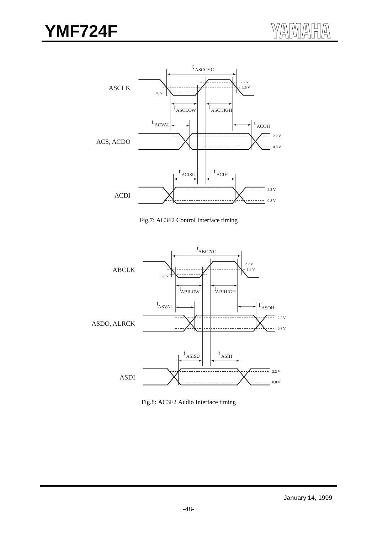

Fig.7: AC3F2 Control Interface timing



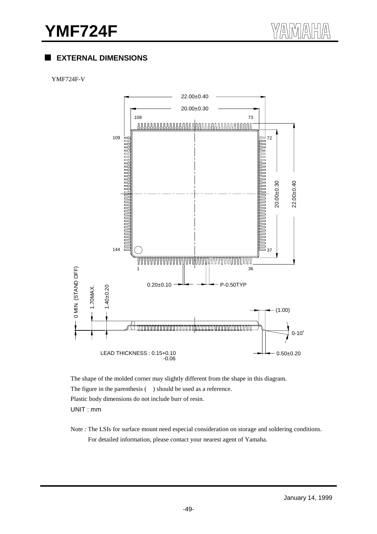## **EXTERNAL DIMENSIONS**

#### YMF724F-V



The shape of the molded corner may slightly different from the shape in this diagram. The figure in the parenthesis ( ) should be used as a reference. Plastic body dimensions do not include burr of resin. UNIT : mm

Note : The LSIs for surface mount need especial consideration on storage and soldering conditions. For detailed information, please contact your nearest agent of Yamaha.